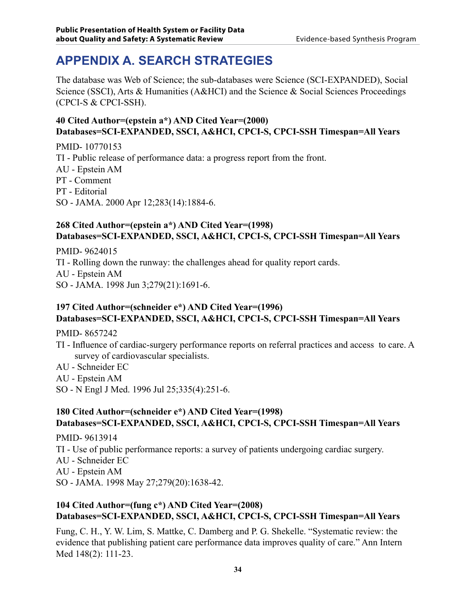# **APPENDIX A. Search Strategies**

The database was Web of Science; the sub-databases were Science (SCI-EXPANDED), Social Science (SSCI), Arts & Humanities (A&HCI) and the Science & Social Sciences Proceedings (CPCI-S & CPCI-SSH).

### **40 Cited Author=(epstein a\*) AND Cited Year=(2000) Databases=SCI-EXPANDED, SSCI, A&HCI, CPCI-S, CPCI-SSH Timespan=All Years**

PMID- 10770153 TI - Public release of performance data: a progress report from the front. AU - Epstein AM PT - Comment PT - Editorial SO - JAMA. 2000 Apr 12;283(14):1884-6.

#### **268 Cited Author=(epstein a\*) AND Cited Year=(1998) Databases=SCI-EXPANDED, SSCI, A&HCI, CPCI-S, CPCI-SSH Timespan=All Years**

PMID- 9624015 TI - Rolling down the runway: the challenges ahead for quality report cards. AU - Epstein AM SO - JAMA. 1998 Jun 3;279(21):1691-6.

### **197 Cited Author=(schneider e\*) AND Cited Year=(1996) Databases=SCI-EXPANDED, SSCI, A&HCI, CPCI-S, CPCI-SSH Timespan=All Years**

PMID- 8657242

- TI Influence of cardiac-surgery performance reports on referral practices and access to care. A survey of cardiovascular specialists.
- AU Schneider EC
- AU Epstein AM
- SO N Engl J Med. 1996 Jul 25;335(4):251-6.

#### **180 Cited Author=(schneider e\*) AND Cited Year=(1998) Databases=SCI-EXPANDED, SSCI, A&HCI, CPCI-S, CPCI-SSH Timespan=All Years**

PMID- 9613914

TI - Use of public performance reports: a survey of patients undergoing cardiac surgery.

- AU Schneider EC
- AU Epstein AM
- SO JAMA. 1998 May 27;279(20):1638-42.

#### **104 Cited Author=(fung c\*) AND Cited Year=(2008) Databases=SCI-EXPANDED, SSCI, A&HCI, CPCI-S, CPCI-SSH Timespan=All Years**

Fung, C. H., Y. W. Lim, S. Mattke, C. Damberg and P. G. Shekelle. "Systematic review: the evidence that publishing patient care performance data improves quality of care." Ann Intern Med 148(2): 111-23.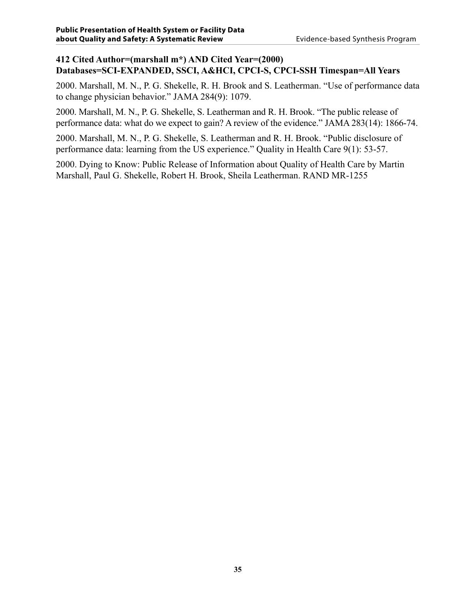#### **412 Cited Author=(marshall m\*) AND Cited Year=(2000) Databases=SCI-EXPANDED, SSCI, A&HCI, CPCI-S, CPCI-SSH Timespan=All Years**

2000. Marshall, M. N., P. G. Shekelle, R. H. Brook and S. Leatherman. "Use of performance data to change physician behavior." JAMA 284(9): 1079.

2000. Marshall, M. N., P. G. Shekelle, S. Leatherman and R. H. Brook. "The public release of performance data: what do we expect to gain? A review of the evidence." JAMA 283(14): 1866-74.

2000. Marshall, M. N., P. G. Shekelle, S. Leatherman and R. H. Brook. "Public disclosure of performance data: learning from the US experience." Quality in Health Care 9(1): 53-57.

2000. Dying to Know: Public Release of Information about Quality of Health Care by Martin Marshall, Paul G. Shekelle, Robert H. Brook, Sheila Leatherman. RAND MR-1255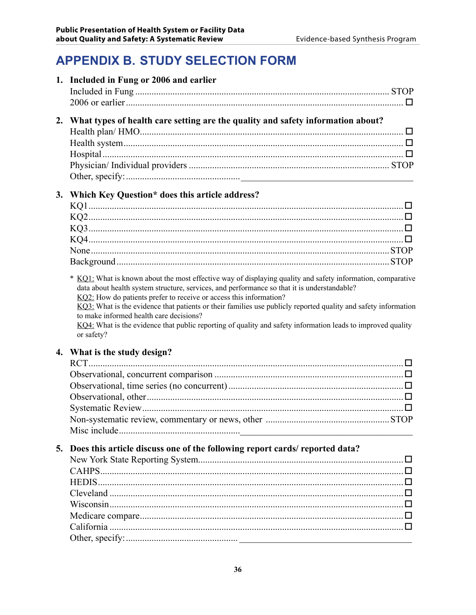# **APPENDIX B. STUDY SELECTION FORM**

| What types of health care setting are the quality and safety information about?<br>2.<br>Which Key Question* does this article address?<br>3.<br>KQ1: What is known about the most effective way of displaying quality and safety information, comparative<br>data about health system structure, services, and performance so that it is understandable?<br>KQ2: How do patients prefer to receive or access this information?<br>KQ3: What is the evidence that patients or their families use publicly reported quality and safety information<br>to make informed health care decisions?<br>KQ4: What is the evidence that public reporting of quality and safety information leads to improved quality<br>or safety?<br>What is the study design?<br>4. |   |
|--------------------------------------------------------------------------------------------------------------------------------------------------------------------------------------------------------------------------------------------------------------------------------------------------------------------------------------------------------------------------------------------------------------------------------------------------------------------------------------------------------------------------------------------------------------------------------------------------------------------------------------------------------------------------------------------------------------------------------------------------------------|---|
|                                                                                                                                                                                                                                                                                                                                                                                                                                                                                                                                                                                                                                                                                                                                                              |   |
|                                                                                                                                                                                                                                                                                                                                                                                                                                                                                                                                                                                                                                                                                                                                                              |   |
|                                                                                                                                                                                                                                                                                                                                                                                                                                                                                                                                                                                                                                                                                                                                                              |   |
|                                                                                                                                                                                                                                                                                                                                                                                                                                                                                                                                                                                                                                                                                                                                                              |   |
|                                                                                                                                                                                                                                                                                                                                                                                                                                                                                                                                                                                                                                                                                                                                                              |   |
|                                                                                                                                                                                                                                                                                                                                                                                                                                                                                                                                                                                                                                                                                                                                                              |   |
|                                                                                                                                                                                                                                                                                                                                                                                                                                                                                                                                                                                                                                                                                                                                                              |   |
|                                                                                                                                                                                                                                                                                                                                                                                                                                                                                                                                                                                                                                                                                                                                                              |   |
|                                                                                                                                                                                                                                                                                                                                                                                                                                                                                                                                                                                                                                                                                                                                                              |   |
|                                                                                                                                                                                                                                                                                                                                                                                                                                                                                                                                                                                                                                                                                                                                                              |   |
|                                                                                                                                                                                                                                                                                                                                                                                                                                                                                                                                                                                                                                                                                                                                                              |   |
|                                                                                                                                                                                                                                                                                                                                                                                                                                                                                                                                                                                                                                                                                                                                                              |   |
|                                                                                                                                                                                                                                                                                                                                                                                                                                                                                                                                                                                                                                                                                                                                                              |   |
|                                                                                                                                                                                                                                                                                                                                                                                                                                                                                                                                                                                                                                                                                                                                                              |   |
|                                                                                                                                                                                                                                                                                                                                                                                                                                                                                                                                                                                                                                                                                                                                                              |   |
|                                                                                                                                                                                                                                                                                                                                                                                                                                                                                                                                                                                                                                                                                                                                                              |   |
|                                                                                                                                                                                                                                                                                                                                                                                                                                                                                                                                                                                                                                                                                                                                                              |   |
|                                                                                                                                                                                                                                                                                                                                                                                                                                                                                                                                                                                                                                                                                                                                                              |   |
|                                                                                                                                                                                                                                                                                                                                                                                                                                                                                                                                                                                                                                                                                                                                                              |   |
|                                                                                                                                                                                                                                                                                                                                                                                                                                                                                                                                                                                                                                                                                                                                                              |   |
|                                                                                                                                                                                                                                                                                                                                                                                                                                                                                                                                                                                                                                                                                                                                                              |   |
|                                                                                                                                                                                                                                                                                                                                                                                                                                                                                                                                                                                                                                                                                                                                                              |   |
|                                                                                                                                                                                                                                                                                                                                                                                                                                                                                                                                                                                                                                                                                                                                                              |   |
|                                                                                                                                                                                                                                                                                                                                                                                                                                                                                                                                                                                                                                                                                                                                                              |   |
|                                                                                                                                                                                                                                                                                                                                                                                                                                                                                                                                                                                                                                                                                                                                                              |   |
| Does this article discuss one of the following report cards/reported data?<br>5.                                                                                                                                                                                                                                                                                                                                                                                                                                                                                                                                                                                                                                                                             |   |
|                                                                                                                                                                                                                                                                                                                                                                                                                                                                                                                                                                                                                                                                                                                                                              | ш |
|                                                                                                                                                                                                                                                                                                                                                                                                                                                                                                                                                                                                                                                                                                                                                              |   |
|                                                                                                                                                                                                                                                                                                                                                                                                                                                                                                                                                                                                                                                                                                                                                              |   |
|                                                                                                                                                                                                                                                                                                                                                                                                                                                                                                                                                                                                                                                                                                                                                              |   |
|                                                                                                                                                                                                                                                                                                                                                                                                                                                                                                                                                                                                                                                                                                                                                              |   |
|                                                                                                                                                                                                                                                                                                                                                                                                                                                                                                                                                                                                                                                                                                                                                              |   |
|                                                                                                                                                                                                                                                                                                                                                                                                                                                                                                                                                                                                                                                                                                                                                              |   |
|                                                                                                                                                                                                                                                                                                                                                                                                                                                                                                                                                                                                                                                                                                                                                              |   |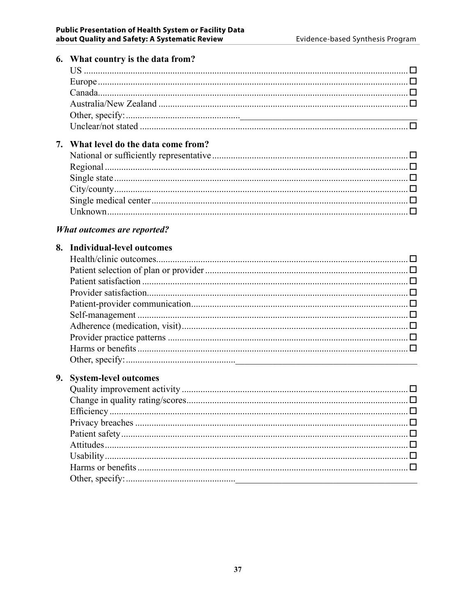| 6. | What country is the data from?     |        |
|----|------------------------------------|--------|
|    |                                    |        |
|    |                                    |        |
|    |                                    |        |
|    |                                    |        |
|    |                                    |        |
|    |                                    |        |
| 7. | What level do the data come from?  |        |
|    |                                    |        |
|    |                                    |        |
|    |                                    |        |
|    |                                    |        |
|    |                                    |        |
|    |                                    |        |
|    |                                    |        |
|    | <b>What outcomes are reported?</b> |        |
|    | 8. Individual-level outcomes       |        |
|    |                                    |        |
|    |                                    |        |
|    |                                    |        |
|    |                                    |        |
|    |                                    |        |
|    |                                    |        |
|    |                                    |        |
|    |                                    |        |
|    |                                    |        |
|    |                                    |        |
| 9. | <b>System-level outcomes</b>       |        |
|    |                                    |        |
|    |                                    | $\Box$ |
|    |                                    |        |
|    |                                    | …. □   |
|    |                                    |        |
|    |                                    |        |
|    |                                    | $\Box$ |
|    |                                    |        |
|    |                                    |        |
|    |                                    |        |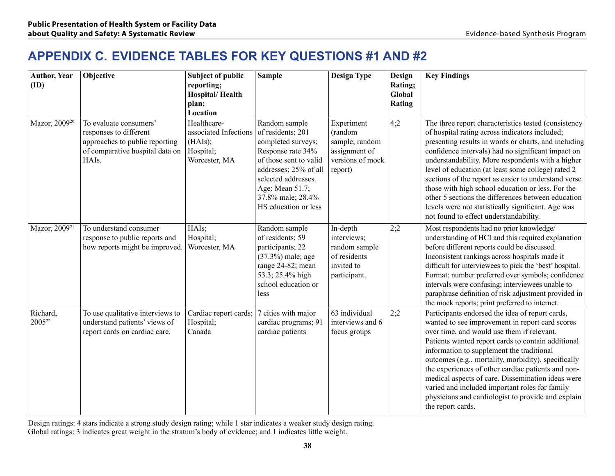### **APPENDIX C. Evidence Tables for Key Questions #1 and #2**

| <b>Author, Year</b><br>(ID)    | Objective                                                                                                                      | <b>Subject of public</b><br>reporting;<br><b>Hospital/Health</b><br>plan;<br>Location | <b>Sample</b>                                                                                                                                                                                                           | <b>Design Type</b>                                                                      | Design<br>Rating;<br>Global<br>Rating | <b>Key Findings</b>                                                                                                                                                                                                                                                                                                                                                                                                                                                                                                                                                                                |
|--------------------------------|--------------------------------------------------------------------------------------------------------------------------------|---------------------------------------------------------------------------------------|-------------------------------------------------------------------------------------------------------------------------------------------------------------------------------------------------------------------------|-----------------------------------------------------------------------------------------|---------------------------------------|----------------------------------------------------------------------------------------------------------------------------------------------------------------------------------------------------------------------------------------------------------------------------------------------------------------------------------------------------------------------------------------------------------------------------------------------------------------------------------------------------------------------------------------------------------------------------------------------------|
| Mazor, 2009 <sup>20</sup>      | To evaluate consumers'<br>responses to different<br>approaches to public reporting<br>of comparative hospital data on<br>HAIs. | Healthcare-<br>associated Infections<br>(HAIs);<br>Hospital;<br>Worcester, MA         | Random sample<br>of residents; 201<br>completed surveys;<br>Response rate 34%<br>of those sent to valid<br>addresses; 25% of all<br>selected addresses.<br>Age: Mean 51.7;<br>37.8% male; 28.4%<br>HS education or less | Experiment<br>(random<br>sample; random<br>assignment of<br>versions of mock<br>report) | 4;2                                   | The three report characteristics tested (consistency<br>of hospital rating across indicators included;<br>presenting results in words or charts, and including<br>confidence intervals) had no significant impact on<br>understandability. More respondents with a higher<br>level of education (at least some college) rated 2<br>sections of the report as easier to understand verse<br>those with high school education or less. For the<br>other 5 sections the differences between education<br>levels were not statistically significant. Age was<br>not found to effect understandability. |
| Mazor, 2009 <sup>21</sup>      | To understand consumer<br>response to public reports and<br>how reports might be improved.                                     | HAIs;<br>Hospital;<br>Worcester, MA                                                   | Random sample<br>of residents; 59<br>participants; 22<br>(37.3%) male; age<br>range 24-82; mean<br>53.3; 25.4% high<br>school education or<br>less                                                                      | In-depth<br>interviews;<br>random sample<br>of residents<br>invited to<br>participant.  | 2;2                                   | Most respondents had no prior knowledge/<br>understanding of HCI and this required explanation<br>before different reports could be discussed.<br>Inconsistent rankings across hospitals made it<br>difficult for interviewees to pick the 'best' hospital.<br>Format: number preferred over symbols; confidence<br>intervals were confusing; interviewees unable to<br>paraphrase definition of risk adjustment provided in<br>the mock reports; print preferred to internet.                                                                                                                     |
| Richard,<br>2005 <sup>22</sup> | To use qualitative interviews to<br>understand patients' views of<br>report cards on cardiac care.                             | Cardiac report cards;<br>Hospital;<br>Canada                                          | 7 cities with major<br>cardiac programs; 91<br>cardiac patients                                                                                                                                                         | 63 individual<br>interviews and 6<br>focus groups                                       | 2:2                                   | Participants endorsed the idea of report cards,<br>wanted to see improvement in report card scores<br>over time, and would use them if relevant.<br>Patients wanted report cards to contain additional<br>information to supplement the traditional<br>outcomes (e.g., mortality, morbidity), specifically<br>the experiences of other cardiac patients and non-<br>medical aspects of care. Dissemination ideas were<br>varied and included important roles for family<br>physicians and cardiologist to provide and explain<br>the report cards.                                                 |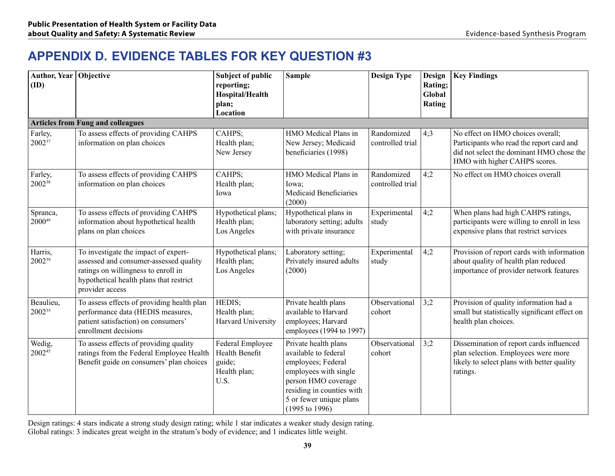# **APPENDIX D. Evidence Tables for Key Question #3**

| Author, Year   Objective<br>(ID) |                                                                                                                                                                                     | <b>Subject of public</b><br>reporting;<br>Hospital/Health<br>plan;<br>Location | <b>Sample</b>                                                                                                                                                                                           | <b>Design Type</b>             | Design<br>Rating;<br>Global<br>Rating | <b>Key Findings</b>                                                                                                                                          |
|----------------------------------|-------------------------------------------------------------------------------------------------------------------------------------------------------------------------------------|--------------------------------------------------------------------------------|---------------------------------------------------------------------------------------------------------------------------------------------------------------------------------------------------------|--------------------------------|---------------------------------------|--------------------------------------------------------------------------------------------------------------------------------------------------------------|
|                                  | <b>Articles from Fung and colleagues</b>                                                                                                                                            |                                                                                |                                                                                                                                                                                                         |                                |                                       |                                                                                                                                                              |
| Farley,<br>200237                | To assess effects of providing CAHPS<br>information on plan choices                                                                                                                 | CAHPS;<br>Health plan;<br>New Jersey                                           | HMO Medical Plans in<br>New Jersey; Medicaid<br>beneficiaries (1998)                                                                                                                                    | Randomized<br>controlled trial | 4:3                                   | No effect on HMO choices overall;<br>Participants who read the report card and<br>did not select the dominant HMO chose the<br>HMO with higher CAHPS scores. |
| Farley,<br>200238                | To assess effects of providing CAHPS<br>information on plan choices                                                                                                                 | CAHPS;<br>Health plan;<br>Iowa                                                 | HMO Medical Plans in<br>Iowa;<br><b>Medicaid Beneficiaries</b><br>(2000)                                                                                                                                | Randomized<br>controlled trial | 4:2                                   | No effect on HMO choices overall                                                                                                                             |
| Spranca,<br>200049               | To assess effects of providing CAHPS<br>information about hypothetical health<br>plans on plan choices                                                                              | Hypothetical plans;<br>Health plan;<br>Los Angeles                             | Hypothetical plans in<br>laboratory setting; adults<br>with private insurance                                                                                                                           | Experimental<br>study          | 4;2                                   | When plans had high CAHPS ratings,<br>participants were willing to enroll in less<br>expensive plans that restrict services                                  |
| Harris,<br>2002 <sup>39</sup>    | To investigate the impact of expert-<br>assessed and consumer-assessed quality<br>ratings on willingness to enroll in<br>hypothetical health plans that restrict<br>provider access | Hypothetical plans;<br>Health plan;<br>Los Angeles                             | Laboratory setting;<br>Privately insured adults<br>(2000)                                                                                                                                               | Experimental<br>study          | 4;2                                   | Provision of report cards with information<br>about quality of health plan reduced<br>importance of provider network features                                |
| Beaulieu,<br>200235              | To assess effects of providing health plan<br>performance data (HEDIS measures,<br>patient satisfaction) on consumers'<br>enrollment decisions                                      | HEDIS;<br>Health plan;<br>Harvard University                                   | Private health plans<br>available to Harvard<br>employees; Harvard<br>employees (1994 to 1997)                                                                                                          | Observational<br>cohort        | 3;2                                   | Provision of quality information had a<br>small but statistically significant effect on<br>health plan choices.                                              |
| Wedig,<br>200245                 | To assess effects of providing quality<br>ratings from the Federal Employee Health<br>Benefit guide on consumers' plan choices                                                      | Federal Employee<br>Health Benefit<br>guide;<br>Health plan;<br>U.S.           | Private health plans<br>available to federal<br>employees; Federal<br>employees with single<br>person HMO coverage<br>residing in counties with<br>5 or fewer unique plans<br>$(1995 \text{ to } 1996)$ | Observational<br>cohort        | 3;2                                   | Dissemination of report cards influenced<br>plan selection. Employees were more<br>likely to select plans with better quality<br>ratings.                    |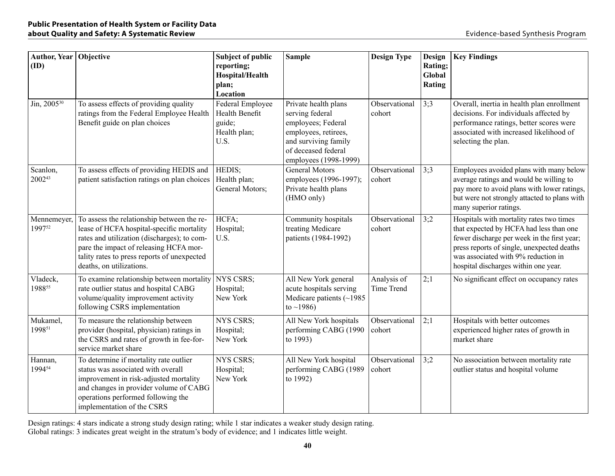| Author, Year Objective<br>(ID) |                                                                                                                                                                                                                                                             | <b>Subject of public</b><br>reporting;<br>Hospital/Health<br>plan;<br>Location | <b>Sample</b>                                                                                                                                                 | <b>Design Type</b>        | Design<br>Rating;<br>Global<br>Rating | <b>Key Findings</b>                                                                                                                                                                                                                                             |
|--------------------------------|-------------------------------------------------------------------------------------------------------------------------------------------------------------------------------------------------------------------------------------------------------------|--------------------------------------------------------------------------------|---------------------------------------------------------------------------------------------------------------------------------------------------------------|---------------------------|---------------------------------------|-----------------------------------------------------------------------------------------------------------------------------------------------------------------------------------------------------------------------------------------------------------------|
| Jin, 2005 <sup>30</sup>        | To assess effects of providing quality<br>ratings from the Federal Employee Health<br>Benefit guide on plan choices                                                                                                                                         | Federal Employee<br>Health Benefit<br>guide;<br>Health plan;<br>U.S.           | Private health plans<br>serving federal<br>employees; Federal<br>employees, retirees,<br>and surviving family<br>of deceased federal<br>employees (1998-1999) | Observational<br>cohort   | 3:3                                   | Overall, inertia in health plan enrollment<br>decisions. For individuals affected by<br>performance ratings, better scores were<br>associated with increased likelihood of<br>selecting the plan.                                                               |
| Scanlon,<br>200243             | To assess effects of providing HEDIS and<br>patient satisfaction ratings on plan choices                                                                                                                                                                    | HEDIS;<br>Health plan;<br>General Motors;                                      | <b>General Motors</b><br>employees (1996-1997);<br>Private health plans<br>(HMO only)                                                                         | Observational<br>cohort   | 3:3                                   | Employees avoided plans with many below<br>average ratings and would be willing to<br>pay more to avoid plans with lower ratings,<br>but were not strongly attacted to plans with<br>many superior ratings.                                                     |
| Mennemeyer,<br>199752          | To assess the relationship between the re-<br>lease of HCFA hospital-specific mortality<br>rates and utilization (discharges); to com-<br>pare the impact of releasing HCFA mor-<br>tality rates to press reports of unexpected<br>deaths, on utilizations. | HCFA;<br>Hospital;<br>U.S.                                                     | Community hospitals<br>treating Medicare<br>patients (1984-1992)                                                                                              | Observational<br>cohort   | 3:2                                   | Hospitals with mortality rates two times<br>that expected by HCFA had less than one<br>fewer discharge per week in the first year;<br>press reports of single, unexpected deaths<br>was associated with 9% reduction in<br>hospital discharges within one year. |
| Vladeck,<br>198855             | To examine relationship between mortality<br>rate outlier status and hospital CABG<br>volume/quality improvement activity<br>following CSRS implementation                                                                                                  | <b>NYS CSRS;</b><br>Hospital;<br>New York                                      | All New York general<br>acute hospitals serving<br>Medicare patients (~1985<br>to ~1986)                                                                      | Analysis of<br>Time Trend | 2;1                                   | No significant effect on occupancy rates                                                                                                                                                                                                                        |
| Mukamel,<br>199851             | To measure the relationship between<br>provider (hospital, physician) ratings in<br>the CSRS and rates of growth in fee-for-<br>service market share                                                                                                        | <b>NYS CSRS:</b><br>Hospital;<br>New York                                      | All New York hospitals<br>performing CABG (1990<br>to 1993)                                                                                                   | Observational<br>cohort   | 2;1                                   | Hospitals with better outcomes<br>experienced higher rates of growth in<br>market share                                                                                                                                                                         |
| Hannan,<br>199454              | To determine if mortality rate outlier<br>status was associated with overall<br>improvement in risk-adjusted mortality<br>and changes in provider volume of CABG<br>operations performed following the<br>implementation of the CSRS                        | <b>NYS CSRS;</b><br>Hospital;<br>New York                                      | All New York hospital<br>performing CABG (1989<br>to 1992)                                                                                                    | Observational<br>cohort   | 3;2                                   | No association between mortality rate<br>outlier status and hospital volume                                                                                                                                                                                     |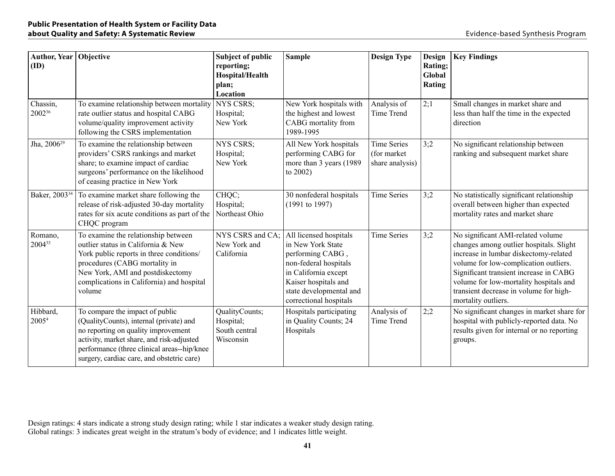| Author, Year   Objective<br>(ID) |                                                                                                                                                                                                                                                             | <b>Subject of public</b><br>reporting;<br>Hospital/Health<br>plan;<br>Location | <b>Sample</b>                                                                                                                                                                                 | <b>Design Type</b>                                    | Design<br>Rating;<br>Global<br><b>Rating</b> | <b>Key Findings</b>                                                                                                                                                                                                                                                                                                 |
|----------------------------------|-------------------------------------------------------------------------------------------------------------------------------------------------------------------------------------------------------------------------------------------------------------|--------------------------------------------------------------------------------|-----------------------------------------------------------------------------------------------------------------------------------------------------------------------------------------------|-------------------------------------------------------|----------------------------------------------|---------------------------------------------------------------------------------------------------------------------------------------------------------------------------------------------------------------------------------------------------------------------------------------------------------------------|
| Chassin,<br>200236               | To examine relationship between mortality<br>rate outlier status and hospital CABG<br>volume/quality improvement activity<br>following the CSRS implementation                                                                                              | NYS CSRS;<br>Hospital;<br>New York                                             | New York hospitals with<br>the highest and lowest<br>CABG mortality from<br>1989-1995                                                                                                         | Analysis of<br>Time Trend                             | 2;1                                          | Small changes in market share and<br>less than half the time in the expected<br>direction                                                                                                                                                                                                                           |
| Jha, 2006 <sup>29</sup>          | To examine the relationship between<br>providers' CSRS rankings and market<br>share; to examine impact of cardiac<br>surgeons' performance on the likelihood<br>of ceasing practice in New York                                                             | <b>NYS CSRS:</b><br>Hospital;<br>New York                                      | All New York hospitals<br>performing CABG for<br>more than 3 years (1989)<br>to 2002)                                                                                                         | <b>Time Series</b><br>(for market)<br>share analysis) | 3:2                                          | No significant relationship between<br>ranking and subsequent market share                                                                                                                                                                                                                                          |
| Baker, 2003 <sup>34</sup>        | To examine market share following the<br>release of risk-adjusted 30-day mortality<br>rates for six acute conditions as part of the<br>CHQC program                                                                                                         | CHQC;<br>Hospital;<br>Northeast Ohio                                           | 30 nonfederal hospitals<br>(1991 to 1997)                                                                                                                                                     | <b>Time Series</b>                                    | 3:2                                          | No statistically significant relationship<br>overall between higher than expected<br>mortality rates and market share                                                                                                                                                                                               |
| Romano,<br>200433                | To examine the relationship between<br>outlier status in California & New<br>York public reports in three conditions/<br>procedures (CABG mortality in<br>New York, AMI and postdiskectomy<br>complications in California) and hospital<br>volume           | NYS CSRS and CA;<br>New York and<br>California                                 | All licensed hospitals<br>in New York State<br>performing CABG,<br>non-federal hospitals<br>in California except<br>Kaiser hospitals and<br>state developmental and<br>correctional hospitals | <b>Time Series</b>                                    | 3;2                                          | No significant AMI-related volume<br>changes among outlier hospitals. Slight<br>increase in lumbar diskectomy-related<br>volume for low-complication outliers.<br>Significant transient increase in CABG<br>volume for low-mortality hospitals and<br>transient decrease in volume for high-<br>mortality outliers. |
| Hibbard,<br>2005 <sup>4</sup>    | To compare the impact of public<br>(QualityCounts), internal (private) and<br>no reporting on quality improvement<br>activity, market share, and risk-adjusted<br>performance (three clinical areas--hip/knee<br>surgery, cardiac care, and obstetric care) | QualityCounts;<br>Hospital;<br>South central<br>Wisconsin                      | Hospitals participating<br>in Quality Counts; 24<br>Hospitals                                                                                                                                 | Analysis of<br>Time Trend                             | 2;2                                          | No significant changes in market share for<br>hospital with publicly-reported data. No<br>results given for internal or no reporting<br>groups.                                                                                                                                                                     |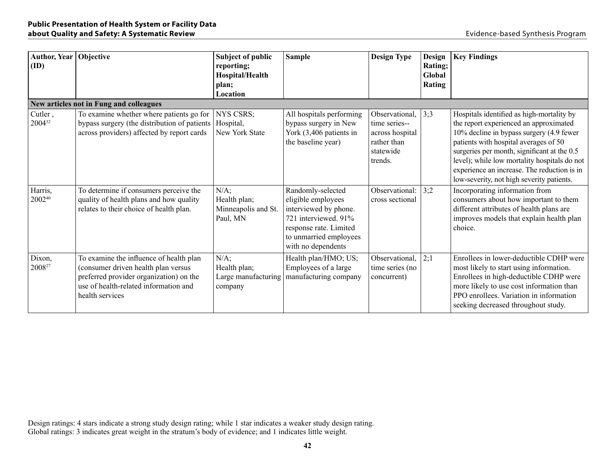| Author, Year   Objective<br>(ID) |                                                                                                                                                                                       | <b>Subject of public</b><br>reporting;<br>Hospital/Health<br>plan;<br>Location | <b>Sample</b>                                                                                                                                                      | <b>Design Type</b>                                                                        | Design<br>Rating;<br>Global<br>Rating | <b>Key Findings</b>                                                                                                                                                                                                                                                                                                                                                 |
|----------------------------------|---------------------------------------------------------------------------------------------------------------------------------------------------------------------------------------|--------------------------------------------------------------------------------|--------------------------------------------------------------------------------------------------------------------------------------------------------------------|-------------------------------------------------------------------------------------------|---------------------------------------|---------------------------------------------------------------------------------------------------------------------------------------------------------------------------------------------------------------------------------------------------------------------------------------------------------------------------------------------------------------------|
|                                  | New articles not in Fung and colleagues                                                                                                                                               |                                                                                |                                                                                                                                                                    |                                                                                           |                                       |                                                                                                                                                                                                                                                                                                                                                                     |
| Cutler,<br>200432                | To examine whether where patients go for<br>bypass surgery (the distribution of patients)<br>across providers) affected by report cards                                               | <b>NYS CSRS;</b><br>Hospital,<br>New York State                                | All hospitals performing<br>bypass surgery in New<br>York (3,406 patients in<br>the baseline year)                                                                 | Observational,<br>time series--<br>across hospital<br>rather than<br>statewide<br>trends. | 3:3                                   | Hospitals identified as high-mortality by<br>the report experienced an approximated<br>10% decline in bypass surgery (4.9 fewer<br>patients with hospital averages of 50<br>surgeries per month, significant at the 0.5<br>level); while low mortality hospitals do not<br>experience an increase. The reduction is in<br>low-severity, not high severity patients. |
| Harris,<br>200240                | To determine if consumers perceive the<br>quality of health plans and how quality<br>relates to their choice of health plan.                                                          | N/A;<br>Health plan;<br>Minneapolis and St.<br>Paul, MN                        | Randomly-selected<br>eligible employees<br>interviewed by phone.<br>721 interviewed. 91%<br>response rate. Limited<br>to unmarried employees<br>with no dependents | Observational:<br>cross sectional                                                         | 3:2                                   | Incorporating information from<br>consumers about how important to them<br>different attributes of health plans are<br>improves models that explain health plan<br>choice.                                                                                                                                                                                          |
| Dixon,<br>200827                 | To examine the influence of health plan<br>(consumer driven health plan versus<br>preferred provider organization) on the<br>use of health-related information and<br>health services | $N/A$ ;<br>Health plan;<br>Large manufacturing<br>company                      | Health plan/HMO; US;<br>Employees of a large<br>manufacturing company                                                                                              | Observational,<br>time series (no<br>concurrent)                                          | 2;1                                   | Enrollees in lower-deductible CDHP were<br>most likely to start using information.<br>Enrollees in high-deductible CDHP were<br>more likely to use cost information than<br>PPO enrollees. Variation in information<br>seeking decreased throughout study.                                                                                                          |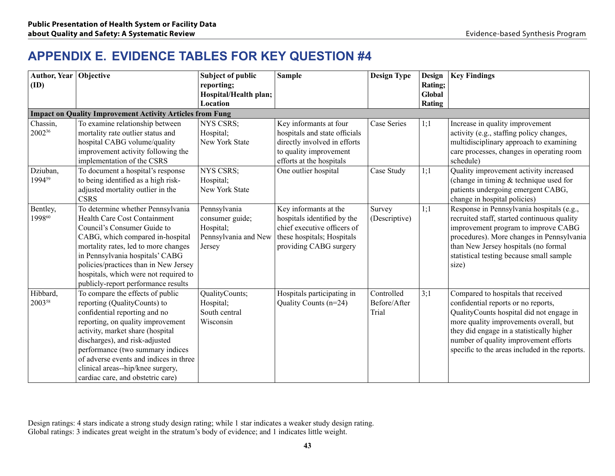## **APPENDIX E. Evidence Tables for Key Question #4**

| Author, Year   Objective |                                                                                                                                                                                                                                                                                                                                                                      | <b>Subject of public</b>                                                       | <b>Sample</b>                                                                                                                                 | <b>Design Type</b>                  | <b>Design</b>     | <b>Key Findings</b>                                                                                                                                                                                                                                                                                      |
|--------------------------|----------------------------------------------------------------------------------------------------------------------------------------------------------------------------------------------------------------------------------------------------------------------------------------------------------------------------------------------------------------------|--------------------------------------------------------------------------------|-----------------------------------------------------------------------------------------------------------------------------------------------|-------------------------------------|-------------------|----------------------------------------------------------------------------------------------------------------------------------------------------------------------------------------------------------------------------------------------------------------------------------------------------------|
| (ID)                     |                                                                                                                                                                                                                                                                                                                                                                      | reporting;<br>Hospital/Health plan;                                            |                                                                                                                                               |                                     | Rating;<br>Global |                                                                                                                                                                                                                                                                                                          |
|                          |                                                                                                                                                                                                                                                                                                                                                                      | Location                                                                       |                                                                                                                                               |                                     | Rating            |                                                                                                                                                                                                                                                                                                          |
|                          | <b>Impact on Quality Improvement Activity Articles from Fung</b>                                                                                                                                                                                                                                                                                                     |                                                                                |                                                                                                                                               |                                     |                   |                                                                                                                                                                                                                                                                                                          |
| Chassin,<br>200236       | To examine relationship between<br>mortality rate outlier status and<br>hospital CABG volume/quality<br>improvement activity following the<br>implementation of the CSRS                                                                                                                                                                                             | <b>NYS CSRS;</b><br>Hospital;<br>New York State                                | Key informants at four<br>hospitals and state officials<br>directly involved in efforts<br>to quality improvement<br>efforts at the hospitals | Case Series                         | 1;1               | Increase in quality improvement<br>activity (e.g., staffing policy changes,<br>multidisciplinary approach to examining<br>care processes, changes in operating room<br>schedule)                                                                                                                         |
| Dziuban,<br>199459       | To document a hospital's response<br>to being identified as a high risk-<br>adjusted mortality outlier in the<br><b>CSRS</b>                                                                                                                                                                                                                                         | <b>NYS CSRS:</b><br>Hospital;<br>New York State                                | One outlier hospital                                                                                                                          | Case Study                          | 1;1               | Quality improvement activity increased<br>(change in timing $&$ technique used for<br>patients undergoing emergent CABG,<br>change in hospital policies)                                                                                                                                                 |
| Bentley,<br>199860       | To determine whether Pennsylvania<br><b>Health Care Cost Containment</b><br>Council's Consumer Guide to<br>CABG, which compared in-hospital<br>mortality rates, led to more changes<br>in Pennsylvania hospitals' CABG<br>policies/practices than in New Jersey<br>hospitals, which were not required to<br>publicly-report performance results                      | Pennsylvania<br>consumer guide;<br>Hospital;<br>Pennsylvania and New<br>Jersey | Key informants at the<br>hospitals identified by the<br>chief executive officers of<br>these hospitals; Hospitals<br>providing CABG surgery   | Survey<br>(Descriptive)             | 1:1               | Response in Pennsylvania hospitals (e.g.,<br>recruited staff, started continuous quality<br>improvement program to improve CABG<br>procedures). More changes in Pennsylvania<br>than New Jersey hospitals (no formal<br>statistical testing because small sample<br>size)                                |
| Hibbard,<br>200358       | To compare the effects of public<br>reporting (QualityCounts) to<br>confidential reporting and no<br>reporting, on quality improvement<br>activity, market share (hospital<br>discharges), and risk-adjusted<br>performance (two summary indices<br>of adverse events and indices in three<br>clinical areas--hip/knee surgery,<br>cardiac care, and obstetric care) | QualityCounts;<br>Hospital;<br>South central<br>Wisconsin                      | Hospitals participating in<br>Quality Counts (n=24)                                                                                           | Controlled<br>Before/After<br>Trial | 3:1               | Compared to hospitals that received<br>confidential reports or no reports,<br>QualityCounts hospital did not engage in<br>more quality improvements overall, but<br>they did engage in a statistically higher<br>number of quality improvement efforts<br>specific to the areas included in the reports. |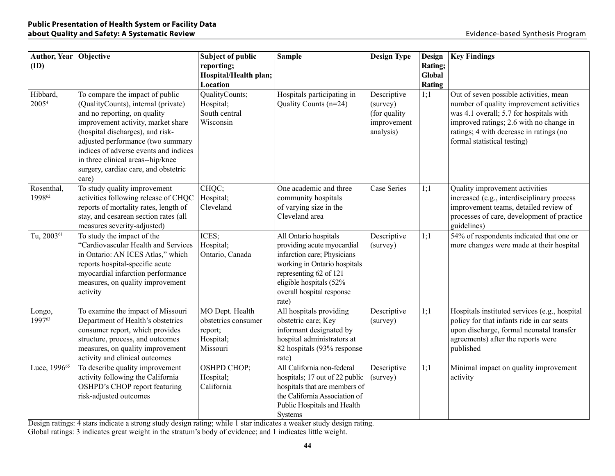| Author, Year Objective<br>(ID) |                                                                                                                                                                                                                                                                                                                                                      | <b>Subject of public</b><br>reporting;<br>Hospital/Health plan;<br>Location | <b>Sample</b>                                                                                                                                                                                                 | <b>Design Type</b>                                                   | <b>Design</b><br>Rating;<br>Global<br>Rating | <b>Key Findings</b>                                                                                                                                                                                                                                |
|--------------------------------|------------------------------------------------------------------------------------------------------------------------------------------------------------------------------------------------------------------------------------------------------------------------------------------------------------------------------------------------------|-----------------------------------------------------------------------------|---------------------------------------------------------------------------------------------------------------------------------------------------------------------------------------------------------------|----------------------------------------------------------------------|----------------------------------------------|----------------------------------------------------------------------------------------------------------------------------------------------------------------------------------------------------------------------------------------------------|
| Hibbard,<br>2005 <sup>4</sup>  | To compare the impact of public<br>(QualityCounts), internal (private)<br>and no reporting, on quality<br>improvement activity, market share<br>(hospital discharges), and risk-<br>adjusted performance (two summary<br>indices of adverse events and indices<br>in three clinical areas--hip/knee<br>surgery, cardiac care, and obstetric<br>care) | QualityCounts;<br>Hospital;<br>South central<br>Wisconsin                   | Hospitals participating in<br>Quality Counts (n=24)                                                                                                                                                           | Descriptive<br>(survey)<br>(for quality)<br>improvement<br>analysis) | 1;1                                          | Out of seven possible activities, mean<br>number of quality improvement activities<br>was 4.1 overall; 5.7 for hospitals with<br>improved ratings; 2.6 with no change in<br>ratings; 4 with decrease in ratings (no<br>formal statistical testing) |
| Rosenthal,<br>199862           | To study quality improvement<br>activities following release of CHQC<br>reports of mortality rates, length of<br>stay, and cesarean section rates (all<br>measures severity-adjusted)                                                                                                                                                                | CHQC;<br>Hospital;<br>Cleveland                                             | One academic and three<br>community hospitals<br>of varying size in the<br>Cleveland area                                                                                                                     | Case Series                                                          | 1;1                                          | Quality improvement activities<br>increased (e.g., interdisciplinary process<br>improvement teams, detailed review of<br>processes of care, development of practice<br>guidelines)                                                                 |
| Tu, 2003 <sup>61</sup>         | To study the impact of the<br>"Cardiovascular Health and Services<br>in Ontario: AN ICES Atlas," which<br>reports hospital-specific acute<br>myocardial infarction performance<br>measures, on quality improvement<br>activity                                                                                                                       | ICES;<br>Hospital;<br>Ontario, Canada                                       | All Ontario hospitals<br>providing acute myocardial<br>infarction care; Physicians<br>working in Ontario hospitals<br>representing 62 of 121<br>eligible hospitals (52%<br>overall hospital response<br>rate) | Descriptive<br>(survey)                                              | 1:1                                          | 54% of respondents indicated that one or<br>more changes were made at their hospital                                                                                                                                                               |
| Longo,<br>199763               | To examine the impact of Missouri<br>Department of Health's obstetrics<br>consumer report, which provides<br>structure, process, and outcomes<br>measures, on quality improvement<br>activity and clinical outcomes                                                                                                                                  | MO Dept. Health<br>obstetrics consumer<br>report;<br>Hospital;<br>Missouri  | All hospitals providing<br>obstetric care; Key<br>informant designated by<br>hospital administrators at<br>82 hospitals (93% response<br>rate)                                                                | Descriptive<br>(survey)                                              | 1;1                                          | Hospitals instituted services (e.g., hospital<br>policy for that infants ride in car seats<br>upon discharge, formal neonatal transfer<br>agreements) after the reports were<br>published                                                          |
| Luce, 1996 <sup>65</sup>       | To describe quality improvement<br>activity following the California<br>OSHPD's CHOP report featuring<br>risk-adjusted outcomes                                                                                                                                                                                                                      | OSHPD CHOP;<br>Hospital;<br>California                                      | All California non-federal<br>hospitals; 17 out of 22 public<br>hospitals that are members of<br>the California Association of<br>Public Hospitals and Health<br>Systems                                      | Descriptive<br>(survey)                                              | 1;1                                          | Minimal impact on quality improvement<br>activity                                                                                                                                                                                                  |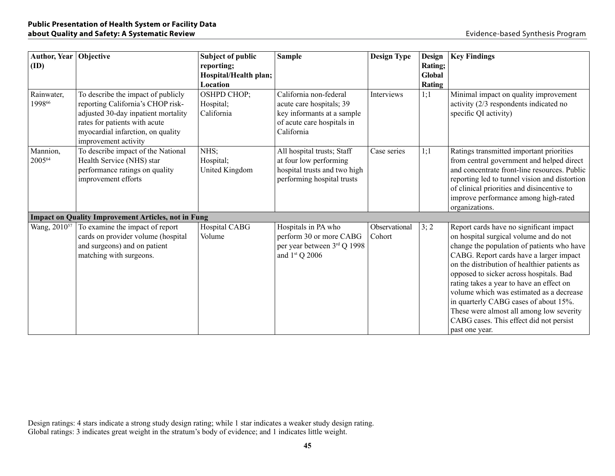| Author, Year   Objective<br>(ID) |                                                                                                                                                                                                              | <b>Subject of public</b><br>reporting;<br>Hospital/Health plan;<br>Location | <b>Sample</b>                                                                                                                | <b>Design Type</b>      | <b>Design</b><br>Rating;<br>Global<br>Rating | <b>Key Findings</b>                                                                                                                                                                                                                                                                                                                                                                                                                                                                                             |
|----------------------------------|--------------------------------------------------------------------------------------------------------------------------------------------------------------------------------------------------------------|-----------------------------------------------------------------------------|------------------------------------------------------------------------------------------------------------------------------|-------------------------|----------------------------------------------|-----------------------------------------------------------------------------------------------------------------------------------------------------------------------------------------------------------------------------------------------------------------------------------------------------------------------------------------------------------------------------------------------------------------------------------------------------------------------------------------------------------------|
| Rainwater,<br>199866             | To describe the impact of publicly<br>reporting California's CHOP risk-<br>adjusted 30-day inpatient mortality<br>rates for patients with acute<br>myocardial infarction, on quality<br>improvement activity | OSHPD CHOP;<br>Hospital;<br>California                                      | California non-federal<br>acute care hospitals; 39<br>key informants at a sample<br>of acute care hospitals in<br>California | Interviews              | 1;1                                          | Minimal impact on quality improvement<br>activity (2/3 respondents indicated no<br>specific QI activity)                                                                                                                                                                                                                                                                                                                                                                                                        |
| Mannion,<br>200564               | To describe impact of the National<br>Health Service (NHS) star<br>performance ratings on quality<br>improvement efforts                                                                                     | NHS;<br>Hospital;<br>United Kingdom                                         | All hospital trusts; Staff<br>at four low performing<br>hospital trusts and two high<br>performing hospital trusts           | Case series             | 1;1                                          | Ratings transmitted important priorities<br>from central government and helped direct<br>and concentrate front-line resources. Public<br>reporting led to tunnel vision and distortion<br>of clinical priorities and disincentive to<br>improve performance among high-rated<br>organizations.                                                                                                                                                                                                                  |
|                                  | <b>Impact on Quality Improvement Articles, not in Fung</b>                                                                                                                                                   |                                                                             |                                                                                                                              |                         |                                              |                                                                                                                                                                                                                                                                                                                                                                                                                                                                                                                 |
| Wang, 2010 <sup>57</sup>         | To examine the impact of report<br>cards on provider volume (hospital<br>and surgeons) and on patient<br>matching with surgeons.                                                                             | Hospital CABG<br>Volume                                                     | Hospitals in PA who<br>perform 30 or more CABG<br>per year between 3rd Q 1998<br>and $1st$ Q 2006                            | Observational<br>Cohort | 3; 2                                         | Report cards have no significant impact<br>on hospital surgical volume and do not<br>change the population of patients who have<br>CABG. Report cards have a larger impact<br>on the distribution of healthier patients as<br>opposed to sicker across hospitals. Bad<br>rating takes a year to have an effect on<br>volume which was estimated as a decrease<br>in quarterly CABG cases of about 15%.<br>These were almost all among low severity<br>CABG cases. This effect did not persist<br>past one year. |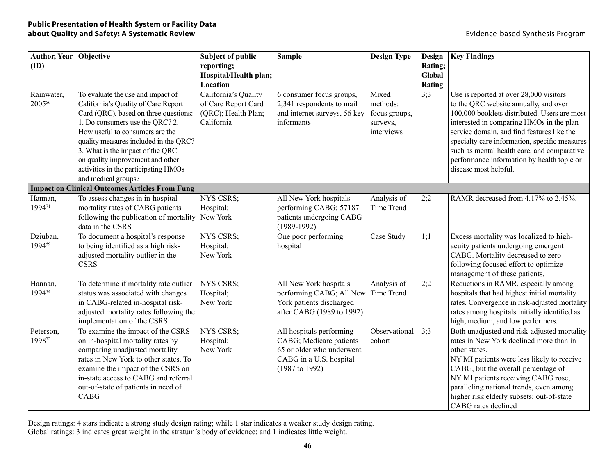| Author, Year   Objective<br>(ID) |                                                                                                                                                                                                                                                                                                                                                                         | <b>Subject of public</b><br>reporting;<br>Hospital/Health plan;<br>Location      | <b>Sample</b>                                                                                                                 | <b>Design Type</b>                                           | <b>Design</b><br>Rating;<br>Global<br><b>Rating</b> | <b>Key Findings</b>                                                                                                                                                                                                                                                                                                                                                                               |
|----------------------------------|-------------------------------------------------------------------------------------------------------------------------------------------------------------------------------------------------------------------------------------------------------------------------------------------------------------------------------------------------------------------------|----------------------------------------------------------------------------------|-------------------------------------------------------------------------------------------------------------------------------|--------------------------------------------------------------|-----------------------------------------------------|---------------------------------------------------------------------------------------------------------------------------------------------------------------------------------------------------------------------------------------------------------------------------------------------------------------------------------------------------------------------------------------------------|
| Rainwater,<br>200556             | To evaluate the use and impact of<br>California's Quality of Care Report<br>Card (QRC), based on three questions:<br>1. Do consumers use the QRC? 2.<br>How useful to consumers are the<br>quality measures included in the QRC?<br>3. What is the impact of the QRC<br>on quality improvement and other<br>activities in the participating HMOs<br>and medical groups? | California's Quality<br>of Care Report Card<br>(QRC); Health Plan;<br>California | 6 consumer focus groups,<br>2,341 respondents to mail<br>and internet surveys, 56 key<br>informants                           | Mixed<br>methods:<br>focus groups,<br>surveys,<br>interviews | 3:3                                                 | Use is reported at over 28,000 visitors<br>to the QRC website annually, and over<br>100,000 booklets distributed. Users are most<br>interested in comparing HMOs in the plan<br>service domain, and find features like the<br>specialty care information, specific measures<br>such as mental health care, and comparative<br>performance information by health topic or<br>disease most helpful. |
|                                  | <b>Impact on Clinical Outcomes Articles From Fung</b>                                                                                                                                                                                                                                                                                                                   |                                                                                  |                                                                                                                               |                                                              |                                                     |                                                                                                                                                                                                                                                                                                                                                                                                   |
| Hannan,<br>199471                | To assess changes in in-hospital<br>mortality rates of CABG patients<br>following the publication of mortality<br>data in the CSRS                                                                                                                                                                                                                                      | <b>NYS CSRS;</b><br>Hospital;<br>New York                                        | All New York hospitals<br>performing CABG; 57187<br>patients undergoing CABG<br>$(1989-1992)$                                 | Analysis of<br>Time Trend                                    | 2:2                                                 | RAMR decreased from 4.17% to 2.45%.                                                                                                                                                                                                                                                                                                                                                               |
| Dziuban,<br>199459               | To document a hospital's response<br>to being identified as a high risk-<br>adjusted mortality outlier in the<br><b>CSRS</b>                                                                                                                                                                                                                                            | <b>NYS CSRS;</b><br>Hospital;<br>New York                                        | One poor performing<br>hospital                                                                                               | Case Study                                                   | 1;1                                                 | Excess mortality was localized to high-<br>acuity patients undergoing emergent<br>CABG. Mortality decreased to zero<br>following focused effort to optimize<br>management of these patients.                                                                                                                                                                                                      |
| Hannan,<br>199454                | To determine if mortality rate outlier<br>status was associated with changes<br>in CABG-related in-hospital risk-<br>adjusted mortality rates following the<br>implementation of the CSRS                                                                                                                                                                               | NYS CSRS;<br>Hospital;<br>New York                                               | All New York hospitals<br>performing CABG; All New<br>York patients discharged<br>after CABG (1989 to 1992)                   | Analysis of<br>Time Trend                                    | 2:2                                                 | Reductions in RAMR, especially among<br>hospitals that had highest initial mortality<br>rates. Convergence in risk-adjusted mortality<br>rates among hospitals initially identified as<br>high, medium, and low performers.                                                                                                                                                                       |
| Peterson,<br>199872              | To examine the impact of the CSRS<br>on in-hospital mortality rates by<br>comparing unadjusted mortality<br>rates in New York to other states. To<br>examine the impact of the CSRS on<br>in-state access to CABG and referral<br>out-of-state of patients in need of<br>CABG                                                                                           | NYS CSRS;<br>Hospital;<br>New York                                               | All hospitals performing<br>CABG; Medicare patients<br>65 or older who underwent<br>CABG in a U.S. hospital<br>(1987 to 1992) | Observational<br>cohort                                      | 3:3                                                 | Both unadjusted and risk-adjusted mortality<br>rates in New York declined more than in<br>other states.<br>NY MI patients were less likely to receive<br>CABG, but the overall percentage of<br>NY MI patients receiving CABG rose,<br>paralleling national trends, even among<br>higher risk elderly subsets; out-of-state<br>CABG rates declined                                                |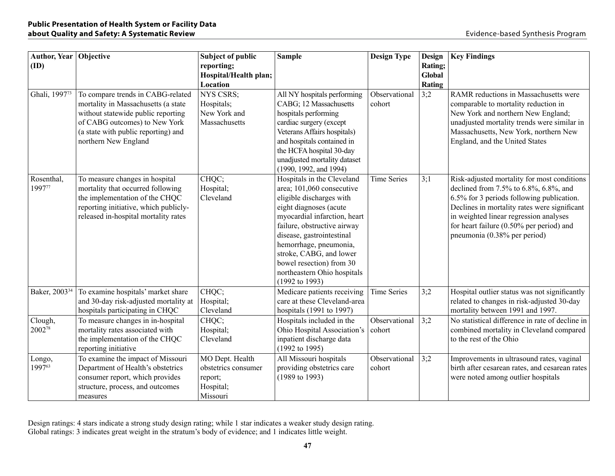| Author, Year   Objective<br>(ID) |                                                                                                                                                                                                                | <b>Subject of public</b><br>reporting;<br>Hospital/Health plan;<br>Location | <b>Sample</b>                                                                                                                                                                                                                                                                                                                                          | <b>Design Type</b>      | <b>Design</b><br>Rating;<br>Global<br><b>Rating</b> | <b>Key Findings</b>                                                                                                                                                                                                                                                                                     |
|----------------------------------|----------------------------------------------------------------------------------------------------------------------------------------------------------------------------------------------------------------|-----------------------------------------------------------------------------|--------------------------------------------------------------------------------------------------------------------------------------------------------------------------------------------------------------------------------------------------------------------------------------------------------------------------------------------------------|-------------------------|-----------------------------------------------------|---------------------------------------------------------------------------------------------------------------------------------------------------------------------------------------------------------------------------------------------------------------------------------------------------------|
| Ghali, 199773                    | To compare trends in CABG-related<br>mortality in Massachusetts (a state<br>without statewide public reporting<br>of CABG outcomes) to New York<br>(a state with public reporting) and<br>northern New England | <b>NYS CSRS;</b><br>Hospitals;<br>New York and<br>Massachusetts             | All NY hospitals performing<br>CABG; 12 Massachusetts<br>hospitals performing<br>cardiac surgery (except<br>Veterans Affairs hospitals)<br>and hospitals contained in<br>the HCFA hospital 30-day<br>unadjusted mortality dataset<br>(1990, 1992, and 1994)                                                                                            | Observational<br>cohort | 3:2                                                 | RAMR reductions in Massachusetts were<br>comparable to mortality reduction in<br>New York and northern New England;<br>unadjusted mortality trends were similar in<br>Massachusetts, New York, northern New<br>England, and the United States                                                           |
| Rosenthal,<br>199777             | To measure changes in hospital<br>mortality that occurred following<br>the implementation of the CHQC<br>reporting initiative, which publicly-<br>released in-hospital mortality rates                         | CHQC;<br>Hospital;<br>Cleveland                                             | Hospitals in the Cleveland<br>area; 101,060 consecutive<br>eligible discharges with<br>eight diagnoses (acute<br>myocardial infarction, heart<br>failure, obstructive airway<br>disease, gastrointestinal<br>hemorrhage, pneumonia,<br>stroke, CABG, and lower<br>bowel resection) from 30<br>northeastern Ohio hospitals<br>$(1992 \text{ to } 1993)$ | <b>Time Series</b>      | 3:1                                                 | Risk-adjusted mortality for most conditions<br>declined from 7.5% to 6.8%, 6.8%, and<br>6.5% for 3 periods following publication.<br>Declines in mortality rates were significant<br>in weighted linear regression analyses<br>for heart failure (0.50% per period) and<br>pneumonia (0.38% per period) |
| Baker, 2003 <sup>34</sup>        | To examine hospitals' market share<br>and 30-day risk-adjusted mortality at<br>hospitals participating in CHQC                                                                                                 | CHQC;<br>Hospital;<br>Cleveland                                             | Medicare patients receiving<br>care at these Cleveland-area<br>hospitals (1991 to 1997)                                                                                                                                                                                                                                                                | <b>Time Series</b>      | 3:2                                                 | Hospital outlier status was not significantly<br>related to changes in risk-adjusted 30-day<br>mortality between 1991 and 1997.                                                                                                                                                                         |
| Clough,<br>200278                | To measure changes in in-hospital<br>mortality rates associated with<br>the implementation of the CHQC<br>reporting initiative                                                                                 | CHQC;<br>Hospital;<br>Cleveland                                             | Hospitals included in the<br>Ohio Hospital Association's<br>inpatient discharge data<br>(1992 to 1995)                                                                                                                                                                                                                                                 | Observational<br>cohort | 3:2                                                 | No statistical difference in rate of decline in<br>combined mortality in Cleveland compared<br>to the rest of the Ohio                                                                                                                                                                                  |
| Longo,<br>199763                 | To examine the impact of Missouri<br>Department of Health's obstetrics<br>consumer report, which provides<br>structure, process, and outcomes<br>measures                                                      | MO Dept. Health<br>obstetrics consumer<br>report;<br>Hospital;<br>Missouri  | All Missouri hospitals<br>providing obstetrics care<br>$(1989 \text{ to } 1993)$                                                                                                                                                                                                                                                                       | Observational<br>cohort | 3:2                                                 | Improvements in ultrasound rates, vaginal<br>birth after cesarean rates, and cesarean rates<br>were noted among outlier hospitals                                                                                                                                                                       |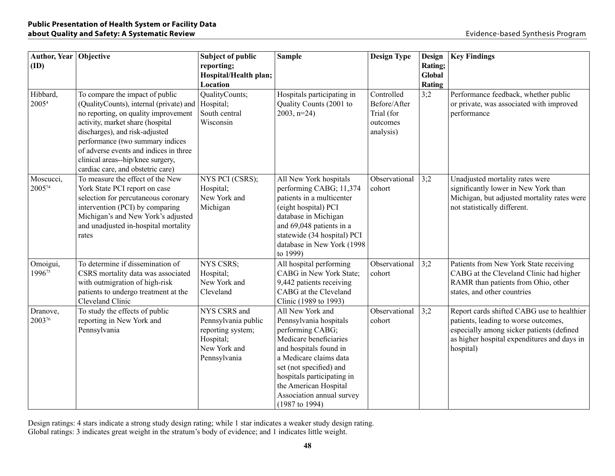| Author, Year Objective<br>(ID) |                                                                                                                                                                                                                                                                                                                                                  | <b>Subject of public</b><br>reporting;<br>Hospital/Health plan;<br>Location                           | <b>Sample</b>                                                                                                                                                                                                                                                                 | <b>Design Type</b>                                                | <b>Design</b><br>Rating;<br>Global<br>Rating | <b>Key Findings</b>                                                                                                                                                                         |
|--------------------------------|--------------------------------------------------------------------------------------------------------------------------------------------------------------------------------------------------------------------------------------------------------------------------------------------------------------------------------------------------|-------------------------------------------------------------------------------------------------------|-------------------------------------------------------------------------------------------------------------------------------------------------------------------------------------------------------------------------------------------------------------------------------|-------------------------------------------------------------------|----------------------------------------------|---------------------------------------------------------------------------------------------------------------------------------------------------------------------------------------------|
| Hibbard,<br>2005 <sup>4</sup>  | To compare the impact of public<br>(QualityCounts), internal (private) and<br>no reporting, on quality improvement<br>activity, market share (hospital<br>discharges), and risk-adjusted<br>performance (two summary indices<br>of adverse events and indices in three<br>clinical areas--hip/knee surgery,<br>cardiac care, and obstetric care) | QualityCounts;<br>Hospital;<br>South central<br>Wisconsin                                             | Hospitals participating in<br>Quality Counts (2001 to<br>$2003, n=24$                                                                                                                                                                                                         | Controlled<br>Before/After<br>Trial (for<br>outcomes<br>analysis) | 3:2                                          | Performance feedback, whether public<br>or private, was associated with improved<br>performance                                                                                             |
| Moscucci,<br>200574            | To measure the effect of the New<br>York State PCI report on case<br>selection for percutaneous coronary<br>intervention (PCI) by comparing<br>Michigan's and New York's adjusted<br>and unadjusted in-hospital mortality<br>rates                                                                                                               | NYS PCI (CSRS);<br>Hospital;<br>New York and<br>Michigan                                              | All New York hospitals<br>performing CABG; 11,374<br>patients in a multicenter<br>(eight hospital) PCI<br>database in Michigan<br>and 69,048 patients in a<br>statewide (34 hospital) PCI<br>database in New York (1998<br>to 1999)                                           | Observational<br>cohort                                           | 3:2                                          | Unadjusted mortality rates were<br>significantly lower in New York than<br>Michigan, but adjusted mortality rates were<br>not statistically different.                                      |
| Omoigui,<br>199675             | To determine if dissemination of<br>CSRS mortality data was associated<br>with outmigration of high-risk<br>patients to undergo treatment at the<br>Cleveland Clinic                                                                                                                                                                             | <b>NYS CSRS;</b><br>Hospital;<br>New York and<br>Cleveland                                            | All hospital performing<br>CABG in New York State;<br>9,442 patients receiving<br>CABG at the Cleveland<br>Clinic (1989 to 1993)                                                                                                                                              | Observational<br>cohort                                           | 3;2                                          | Patients from New York State receiving<br>CABG at the Cleveland Clinic had higher<br>RAMR than patients from Ohio, other<br>states, and other countries                                     |
| Dranove,<br>200376             | To study the effects of public<br>reporting in New York and<br>Pennsylvania                                                                                                                                                                                                                                                                      | NYS CSRS and<br>Pennsylvania public<br>reporting system;<br>Hospital;<br>New York and<br>Pennsylvania | All New York and<br>Pennsylvania hospitals<br>performing CABG;<br>Medicare beneficiaries<br>and hospitals found in<br>a Medicare claims data<br>set (not specified) and<br>hospitals participating in<br>the American Hospital<br>Association annual survey<br>(1987 to 1994) | Observational<br>cohort                                           | 3:2                                          | Report cards shifted CABG use to healthier<br>patients, leading to worse outcomes,<br>especially among sicker patients (defined<br>as higher hospital expenditures and days in<br>hospital) |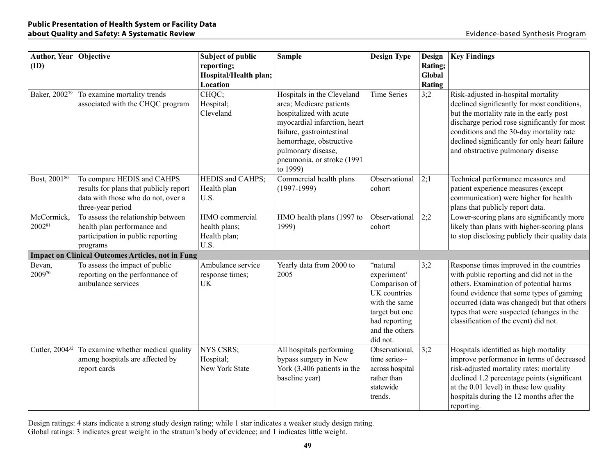| Author, Year Objective<br>(ID) |                                                                                                                                 | <b>Subject of public</b><br>reporting;<br>Hospital/Health plan;<br>Location | <b>Sample</b>                                                                                                                                                                                                                            | <b>Design Type</b>                                                                                                                         | <b>Design</b><br>Rating;<br>Global<br><b>Rating</b> | <b>Key Findings</b>                                                                                                                                                                                                                                                                                              |
|--------------------------------|---------------------------------------------------------------------------------------------------------------------------------|-----------------------------------------------------------------------------|------------------------------------------------------------------------------------------------------------------------------------------------------------------------------------------------------------------------------------------|--------------------------------------------------------------------------------------------------------------------------------------------|-----------------------------------------------------|------------------------------------------------------------------------------------------------------------------------------------------------------------------------------------------------------------------------------------------------------------------------------------------------------------------|
| Baker, 200279                  | To examine mortality trends<br>associated with the CHQC program                                                                 | CHQC;<br>Hospital;<br>Cleveland                                             | Hospitals in the Cleveland<br>area; Medicare patients<br>hospitalized with acute<br>myocardial infarction, heart<br>failure, gastrointestinal<br>hemorrhage, obstructive<br>pulmonary disease,<br>pneumonia, or stroke (1991<br>to 1999) | <b>Time Series</b>                                                                                                                         | 3;2                                                 | Risk-adjusted in-hospital mortality<br>declined significantly for most conditions,<br>but the mortality rate in the early post<br>discharge period rose significantly for most<br>conditions and the 30-day mortality rate<br>declined significantly for only heart failure<br>and obstructive pulmonary disease |
| Bost, 200180                   | To compare HEDIS and CAHPS<br>results for plans that publicly report<br>data with those who do not, over a<br>three-year period | HEDIS and CAHPS;<br>Health plan<br>U.S.                                     | Commercial health plans<br>$(1997-1999)$                                                                                                                                                                                                 | Observational<br>cohort                                                                                                                    | 2;1                                                 | Technical performance measures and<br>patient experience measures (except<br>communication) were higher for health<br>plans that publicly report data.                                                                                                                                                           |
| McCormick,<br>200281           | To assess the relationship between<br>health plan performance and<br>participation in public reporting<br>programs              | HMO commercial<br>health plans;<br>Health plan;<br>U.S.                     | HMO health plans (1997 to<br>1999)                                                                                                                                                                                                       | Observational<br>cohort                                                                                                                    | 2;2                                                 | Lower-scoring plans are significantly more<br>likely than plans with higher-scoring plans<br>to stop disclosing publicly their quality data                                                                                                                                                                      |
|                                | <b>Impact on Clinical Outcomes Articles, not in Fung</b>                                                                        |                                                                             |                                                                                                                                                                                                                                          |                                                                                                                                            |                                                     |                                                                                                                                                                                                                                                                                                                  |
| Bevan,<br>200970               | To assess the impact of public<br>reporting on the performance of<br>ambulance services                                         | Ambulance service<br>response times;<br><b>UK</b>                           | Yearly data from 2000 to<br>2005                                                                                                                                                                                                         | "natural<br>experiment'<br>Comparison of<br>UK countries<br>with the same<br>target but one<br>had reporting<br>and the others<br>did not. | 3;2                                                 | Response times improved in the countries<br>with public reporting and did not in the<br>others. Examination of potential harms<br>found evidence that some types of gaming<br>occurred (data was changed) but that others<br>types that were suspected (changes in the<br>classification of the event) did not.  |
| Cutler, 2004 <sup>32</sup>     | To examine whether medical quality<br>among hospitals are affected by<br>report cards                                           | NYS CSRS;<br>Hospital;<br>New York State                                    | All hospitals performing<br>bypass surgery in New<br>York $(3,406$ patients in the<br>baseline year)                                                                                                                                     | Observational,<br>time series--<br>across hospital<br>rather than<br>statewide<br>trends.                                                  | 3;2                                                 | Hospitals identified as high mortality<br>improve performance in terms of decreased<br>risk-adjusted mortality rates: mortality<br>declined 1.2 percentage points (significant<br>at the 0.01 level) in these low quality<br>hospitals during the 12 months after the<br>reporting.                              |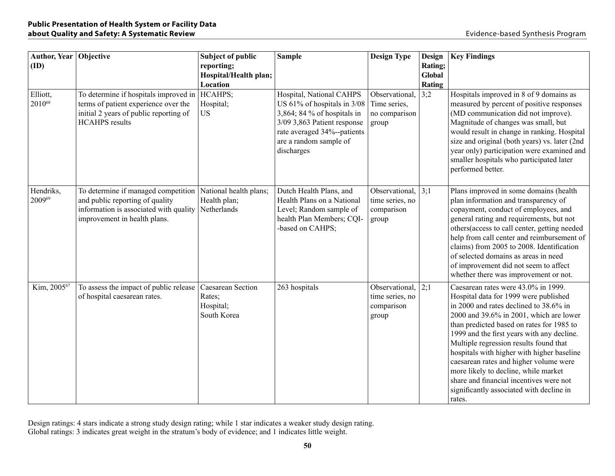| Author, Year Objective<br>(ID) |                                                                                                                                                  | <b>Subject of public</b><br>reporting;<br>Hospital/Health plan;<br>Location | <b>Sample</b>                                                                                                                                                                                | <b>Design Type</b>                                               | <b>Design</b><br>Rating;<br>Global<br>Rating | <b>Key Findings</b>                                                                                                                                                                                                                                                                                                                                                                                                                                                                                                                     |
|--------------------------------|--------------------------------------------------------------------------------------------------------------------------------------------------|-----------------------------------------------------------------------------|----------------------------------------------------------------------------------------------------------------------------------------------------------------------------------------------|------------------------------------------------------------------|----------------------------------------------|-----------------------------------------------------------------------------------------------------------------------------------------------------------------------------------------------------------------------------------------------------------------------------------------------------------------------------------------------------------------------------------------------------------------------------------------------------------------------------------------------------------------------------------------|
| Elliott,<br>201068             | To determine if hospitals improved in<br>terms of patient experience over the<br>initial 2 years of public reporting of<br><b>HCAHPS</b> results | HCAHPS;<br>Hospital;<br><b>US</b>                                           | Hospital, National CAHPS<br>US 61% of hospitals in 3/08<br>3,864; 84 % of hospitals in<br>3/09 3,863 Patient response<br>rate averaged 34%--patients<br>are a random sample of<br>discharges | Observational,<br>Time series,<br>no comparison<br>group         | 3:2                                          | Hospitals improved in 8 of 9 domains as<br>measured by percent of positive responses<br>(MD communication did not improve).<br>Magnitude of changes was small, but<br>would result in change in ranking. Hospital<br>size and original (both years) vs. later (2nd<br>year only) participation were examined and<br>smaller hospitals who participated later<br>performed better.                                                                                                                                                       |
| Hendriks,<br>200969            | To determine if managed competition<br>and public reporting of quality<br>information is associated with quality<br>improvement in health plans. | National health plans;<br>Health plan;<br>Netherlands                       | Dutch Health Plans, and<br>Health Plans on a National<br>Level; Random sample of<br>health Plan Members; CQI-<br>-based on CAHPS;                                                            | Observational, $ 3;1 $<br>time series, no<br>comparison<br>group |                                              | Plans improved in some domains (health<br>plan information and transparency of<br>copayment, conduct of employees, and<br>general rating and requirements, but not<br>others(access to call center, getting needed<br>help from call center and reimbursement of<br>claims) from 2005 to 2008. Identification<br>of selected domains as areas in need<br>of improvement did not seem to affect<br>whether there was improvement or not.                                                                                                 |
| Kim, 200567                    | To assess the impact of public release<br>of hospital caesarean rates.                                                                           | Caesarean Section<br>Rates;<br>Hospital;<br>South Korea                     | 263 hospitals                                                                                                                                                                                | Observational,<br>time series, no<br>comparison<br>group         | 2:1                                          | Caesarean rates were 43.0% in 1999.<br>Hospital data for 1999 were published<br>in 2000 and rates declined to 38.6% in<br>2000 and 39.6% in 2001, which are lower<br>than predicted based on rates for 1985 to<br>1999 and the first years with any decline.<br>Multiple regression results found that<br>hospitals with higher with higher baseline<br>caesarean rates and higher volume were<br>more likely to decline, while market<br>share and financial incentives were not<br>significantly associated with decline in<br>rates. |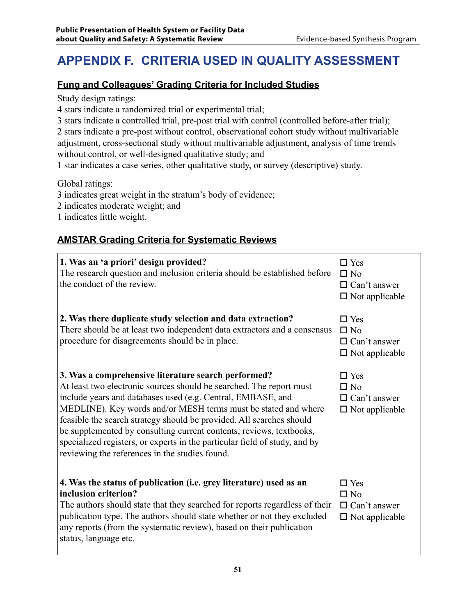# **APPENDIX F. Criteria Used in Quality Assessment**

### **Fung and Colleagues' Grading Criteria for Included Studies**

Study design ratings:

4 stars indicate a randomized trial or experimental trial;

3 stars indicate a controlled trial, pre-post trial with control (controlled before-after trial);

2 stars indicate a pre-post without control, observational cohort study without multivariable adjustment, cross-sectional study without multivariable adjustment, analysis of time trends without control, or well-designed qualitative study; and

1 star indicates a case series, other qualitative study, or survey (descriptive) study.

Global ratings:

3 indicates great weight in the stratum's body of evidence;

2 indicates moderate weight; and

1 indicates little weight.

#### **AMSTAR Grading Criteria for Systematic Reviews**

| 1. Was an 'a priori' design provided?<br>The research question and inclusion criteria should be established before<br>the conduct of the review.                                                                                                                                                                                                                                                                                                                                                                                           | $\Box$ Yes<br>$\square$ No<br>$\Box$ Can't answer<br>$\Box$ Not applicable |
|--------------------------------------------------------------------------------------------------------------------------------------------------------------------------------------------------------------------------------------------------------------------------------------------------------------------------------------------------------------------------------------------------------------------------------------------------------------------------------------------------------------------------------------------|----------------------------------------------------------------------------|
| 2. Was there duplicate study selection and data extraction?<br>There should be at least two independent data extractors and a consensus<br>procedure for disagreements should be in place.                                                                                                                                                                                                                                                                                                                                                 | $\Box$ Yes<br>$\square$ No<br>$\Box$ Can't answer<br>$\Box$ Not applicable |
| 3. Was a comprehensive literature search performed?<br>At least two electronic sources should be searched. The report must<br>include years and databases used (e.g. Central, EMBASE, and<br>MEDLINE). Key words and/or MESH terms must be stated and where<br>feasible the search strategy should be provided. All searches should<br>be supplemented by consulting current contents, reviews, textbooks,<br>specialized registers, or experts in the particular field of study, and by<br>reviewing the references in the studies found. | $\Box$ Yes<br>$\Box$ No<br>$\Box$ Can't answer<br>$\Box$ Not applicable    |
| 4. Was the status of publication (i.e. grey literature) used as an<br>inclusion criterion?<br>The authors should state that they searched for reports regardless of their<br>publication type. The authors should state whether or not they excluded<br>any reports (from the systematic review), based on their publication<br>status, language etc.                                                                                                                                                                                      | $\Box$ Yes<br>$\square$ No<br>$\Box$ Can't answer<br>$\Box$ Not applicable |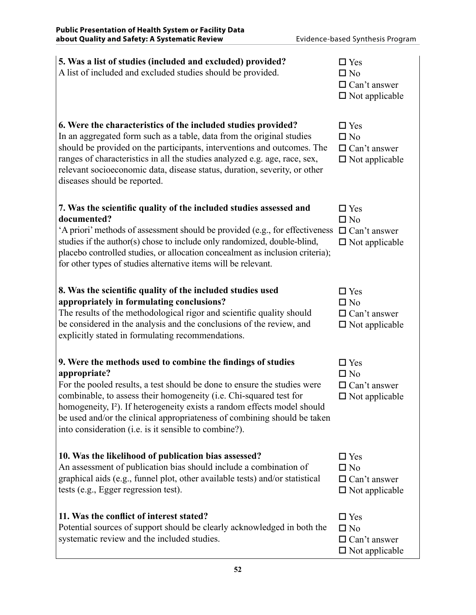| 5. Was a list of studies (included and excluded) provided?<br>A list of included and excluded studies should be provided.                                                                                                                                                                                                                                                                                                                                  | $\square$ Yes<br>$\square$ No<br>$\Box$ Can't answer<br>$\square$ Not applicable |
|------------------------------------------------------------------------------------------------------------------------------------------------------------------------------------------------------------------------------------------------------------------------------------------------------------------------------------------------------------------------------------------------------------------------------------------------------------|----------------------------------------------------------------------------------|
| 6. Were the characteristics of the included studies provided?<br>In an aggregated form such as a table, data from the original studies<br>should be provided on the participants, interventions and outcomes. The<br>ranges of characteristics in all the studies analyzed e.g. age, race, sex,<br>relevant socioeconomic data, disease status, duration, severity, or other<br>diseases should be reported.                                               | $\square$ Yes<br>$\square$ No<br>$\Box$ Can't answer<br>$\Box$ Not applicable    |
| 7. Was the scientific quality of the included studies assessed and<br>documented?<br>'A priori' methods of assessment should be provided (e.g., for effectiveness<br>studies if the author(s) chose to include only randomized, double-blind,<br>placebo controlled studies, or allocation concealment as inclusion criteria);<br>for other types of studies alternative items will be relevant.                                                           | $\Box$ Yes<br>$\square$ No<br>$\Box$ Can't answer<br>$\Box$ Not applicable       |
| 8. Was the scientific quality of the included studies used<br>appropriately in formulating conclusions?<br>The results of the methodological rigor and scientific quality should<br>be considered in the analysis and the conclusions of the review, and<br>explicitly stated in formulating recommendations.                                                                                                                                              | $\square$ Yes<br>$\square$ No<br>$\Box$ Can't answer<br>$\square$ Not applicable |
| 9. Were the methods used to combine the findings of studies<br>appropriate?<br>For the pooled results, a test should be done to ensure the studies were<br>combinable, to assess their homogeneity (i.e. Chi-squared test for<br>homogeneity, I <sup>2</sup> ). If heterogeneity exists a random effects model should<br>be used and/or the clinical appropriateness of combining should be taken<br>into consideration (i.e. is it sensible to combine?). | $\square$ Yes<br>$\square$ No<br>$\Box$ Can't answer<br>$\square$ Not applicable |
| 10. Was the likelihood of publication bias assessed?<br>An assessment of publication bias should include a combination of<br>graphical aids (e.g., funnel plot, other available tests) and/or statistical<br>tests (e.g., Egger regression test).                                                                                                                                                                                                          | $\square$ Yes<br>$\square$ No<br>$\Box$ Can't answer<br>$\Box$ Not applicable    |
| 11. Was the conflict of interest stated?<br>Potential sources of support should be clearly acknowledged in both the<br>systematic review and the included studies.                                                                                                                                                                                                                                                                                         | $\square$ Yes<br>$\square$ No<br>$\Box$ Can't answer<br>$\square$ Not applicable |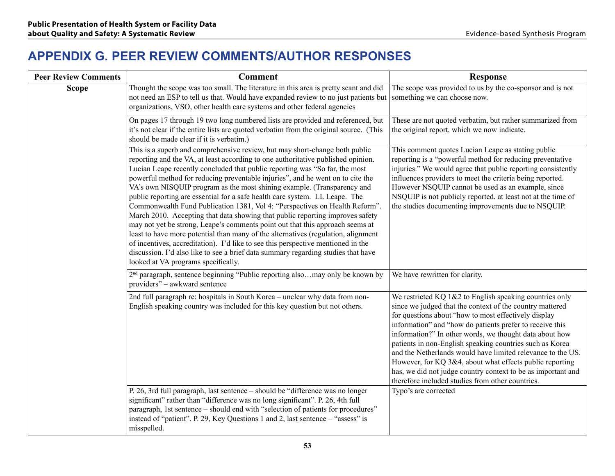### **APPENDIX G. Peer Review Comments/Author Responses**

| <b>Peer Review Comments</b> | <b>Comment</b>                                                                                                                                                                                                                                                                                                                                                                                                                                                                                                                                                                                                                                                                                                                                                                                                                                                                                                                                                                                                                                   | <b>Response</b>                                                                                                                                                                                                                                                                                                                                                                                                                                                                                                                                                                                               |
|-----------------------------|--------------------------------------------------------------------------------------------------------------------------------------------------------------------------------------------------------------------------------------------------------------------------------------------------------------------------------------------------------------------------------------------------------------------------------------------------------------------------------------------------------------------------------------------------------------------------------------------------------------------------------------------------------------------------------------------------------------------------------------------------------------------------------------------------------------------------------------------------------------------------------------------------------------------------------------------------------------------------------------------------------------------------------------------------|---------------------------------------------------------------------------------------------------------------------------------------------------------------------------------------------------------------------------------------------------------------------------------------------------------------------------------------------------------------------------------------------------------------------------------------------------------------------------------------------------------------------------------------------------------------------------------------------------------------|
| <b>Scope</b>                | Thought the scope was too small. The literature in this area is pretty scant and did<br>not need an ESP to tell us that. Would have expanded review to no just patients but<br>organizations, VSO, other health care systems and other federal agencies                                                                                                                                                                                                                                                                                                                                                                                                                                                                                                                                                                                                                                                                                                                                                                                          | The scope was provided to us by the co-sponsor and is not<br>something we can choose now.                                                                                                                                                                                                                                                                                                                                                                                                                                                                                                                     |
|                             | On pages 17 through 19 two long numbered lists are provided and referenced, but<br>it's not clear if the entire lists are quoted verbatim from the original source. (This<br>should be made clear if it is verbatim.)                                                                                                                                                                                                                                                                                                                                                                                                                                                                                                                                                                                                                                                                                                                                                                                                                            | These are not quoted verbatim, but rather summarized from<br>the original report, which we now indicate.                                                                                                                                                                                                                                                                                                                                                                                                                                                                                                      |
|                             | This is a superb and comprehensive review, but may short-change both public<br>reporting and the VA, at least according to one authoritative published opinion.<br>Lucian Leape recently concluded that public reporting was "So far, the most<br>powerful method for reducing preventable injuries", and he went on to cite the<br>VA's own NISQUIP program as the most shining example. (Transparency and<br>public reporting are essential for a safe health care system. LL Leape. The<br>Commonwealth Fund Publication 1381, Vol 4: "Perspectives on Health Reform".<br>March 2010. Accepting that data showing that public reporting improves safety<br>may not yet be strong, Leape's comments point out that this approach seems at<br>least to have more potential than many of the alternatives (regulation, alignment<br>of incentives, accreditation). I'd like to see this perspective mentioned in the<br>discussion. I'd also like to see a brief data summary regarding studies that have<br>looked at VA programs specifically. | This comment quotes Lucian Leape as stating public<br>reporting is a "powerful method for reducing preventative<br>injuries." We would agree that public reporting consistently<br>influences providers to meet the criteria being reported.<br>However NSQUIP cannot be used as an example, since<br>NSQUIP is not publicly reported, at least not at the time of<br>the studies documenting improvements due to NSQUIP.                                                                                                                                                                                     |
|                             | 2 <sup>nd</sup> paragraph, sentence beginning "Public reporting alsomay only be known by<br>providers" – awkward sentence                                                                                                                                                                                                                                                                                                                                                                                                                                                                                                                                                                                                                                                                                                                                                                                                                                                                                                                        | We have rewritten for clarity.                                                                                                                                                                                                                                                                                                                                                                                                                                                                                                                                                                                |
|                             | 2nd full paragraph re: hospitals in South Korea - unclear why data from non-<br>English speaking country was included for this key question but not others.                                                                                                                                                                                                                                                                                                                                                                                                                                                                                                                                                                                                                                                                                                                                                                                                                                                                                      | We restricted KQ 1&2 to English speaking countries only<br>since we judged that the context of the country mattered<br>for questions about "how to most effectively display<br>information" and "how do patients prefer to receive this<br>information?" In other words, we thought data about how<br>patients in non-English speaking countries such as Korea<br>and the Netherlands would have limited relevance to the US.<br>However, for KQ 3&4, about what effects public reporting<br>has, we did not judge country context to be as important and<br>therefore included studies from other countries. |
|                             | P. 26, 3rd full paragraph, last sentence - should be "difference was no longer<br>significant" rather than "difference was no long significant". P. 26, 4th full<br>paragraph, 1st sentence - should end with "selection of patients for procedures"<br>instead of "patient". P. 29, Key Questions 1 and 2, last sentence – "assess" is<br>misspelled.                                                                                                                                                                                                                                                                                                                                                                                                                                                                                                                                                                                                                                                                                           | Typo's are corrected                                                                                                                                                                                                                                                                                                                                                                                                                                                                                                                                                                                          |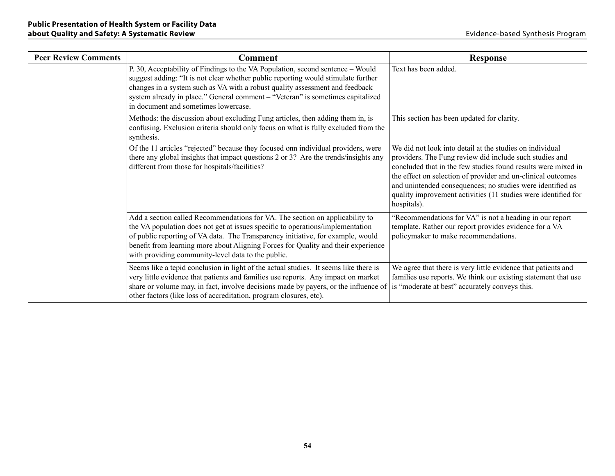| <b>Peer Review Comments</b> | <b>Comment</b>                                                                                                                                                                                                                                                                                                                                                                               | <b>Response</b>                                                                                                                                                                                                                                                                                                                                                                                     |
|-----------------------------|----------------------------------------------------------------------------------------------------------------------------------------------------------------------------------------------------------------------------------------------------------------------------------------------------------------------------------------------------------------------------------------------|-----------------------------------------------------------------------------------------------------------------------------------------------------------------------------------------------------------------------------------------------------------------------------------------------------------------------------------------------------------------------------------------------------|
|                             | P. 30, Acceptability of Findings to the VA Population, second sentence – Would<br>suggest adding: "It is not clear whether public reporting would stimulate further<br>changes in a system such as VA with a robust quality assessment and feedback<br>system already in place." General comment - "Veteran" is sometimes capitalized<br>in document and sometimes lowercase.                | Text has been added.                                                                                                                                                                                                                                                                                                                                                                                |
|                             | Methods: the discussion about excluding Fung articles, then adding them in, is<br>confusing. Exclusion criteria should only focus on what is fully excluded from the<br>synthesis.                                                                                                                                                                                                           | This section has been updated for clarity.                                                                                                                                                                                                                                                                                                                                                          |
|                             | Of the 11 articles "rejected" because they focused onn individual providers, were<br>there any global insights that impact questions 2 or 3? Are the trends/insights any<br>different from those for hospitals/facilities?                                                                                                                                                                   | We did not look into detail at the studies on individual<br>providers. The Fung review did include such studies and<br>concluded that in the few studies found results were mixed in<br>the effect on selection of provider and un-clinical outcomes<br>and unintended consequences; no studies were identified as<br>quality improvement activities (11 studies were identified for<br>hospitals). |
|                             | Add a section called Recommendations for VA. The section on applicability to<br>the VA population does not get at issues specific to operations/implementation<br>of public reporting of VA data. The Transparency initiative, for example, would<br>benefit from learning more about Aligning Forces for Quality and their experience<br>with providing community-level data to the public. | "Recommendations for VA" is not a heading in our report<br>template. Rather our report provides evidence for a VA<br>policymaker to make recommendations.                                                                                                                                                                                                                                           |
|                             | Seems like a tepid conclusion in light of the actual studies. It seems like there is<br>very little evidence that patients and families use reports. Any impact on market<br>share or volume may, in fact, involve decisions made by payers, or the influence of<br>other factors (like loss of accreditation, program closures, etc).                                                       | We agree that there is very little evidence that patients and<br>families use reports. We think our existing statement that use<br>is "moderate at best" accurately conveys this.                                                                                                                                                                                                                   |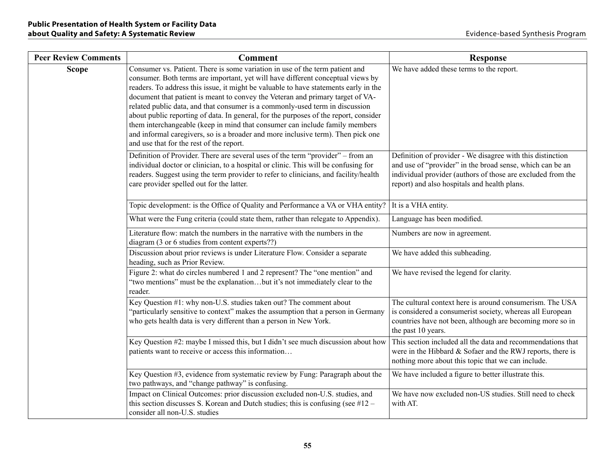| <b>Peer Review Comments</b> | <b>Comment</b>                                                                                                                                                                                                                                                                                                                                                                                                                                                                                                                                                                                                                                                                                                                   | <b>Response</b>                                                                                                                                                                                                                        |
|-----------------------------|----------------------------------------------------------------------------------------------------------------------------------------------------------------------------------------------------------------------------------------------------------------------------------------------------------------------------------------------------------------------------------------------------------------------------------------------------------------------------------------------------------------------------------------------------------------------------------------------------------------------------------------------------------------------------------------------------------------------------------|----------------------------------------------------------------------------------------------------------------------------------------------------------------------------------------------------------------------------------------|
| <b>Scope</b>                | Consumer vs. Patient. There is some variation in use of the term patient and<br>consumer. Both terms are important, yet will have different conceptual views by<br>readers. To address this issue, it might be valuable to have statements early in the<br>document that patient is meant to convey the Veteran and primary target of VA-<br>related public data, and that consumer is a commonly-used term in discussion<br>about public reporting of data. In general, for the purposes of the report, consider<br>them interchangeable (keep in mind that consumer can include family members<br>and informal caregivers, so is a broader and more inclusive term). Then pick one<br>and use that for the rest of the report. | We have added these terms to the report.                                                                                                                                                                                               |
|                             | Definition of Provider. There are several uses of the term "provider" - from an<br>individual doctor or clinician, to a hospital or clinic. This will be confusing for<br>readers. Suggest using the term provider to refer to clinicians, and facility/health<br>care provider spelled out for the latter.                                                                                                                                                                                                                                                                                                                                                                                                                      | Definition of provider - We disagree with this distinction<br>and use of "provider" in the broad sense, which can be an<br>individual provider (authors of those are excluded from the<br>report) and also hospitals and health plans. |
|                             | Topic development: is the Office of Quality and Performance a VA or VHA entity?                                                                                                                                                                                                                                                                                                                                                                                                                                                                                                                                                                                                                                                  | It is a VHA entity.                                                                                                                                                                                                                    |
|                             | What were the Fung criteria (could state them, rather than relegate to Appendix).                                                                                                                                                                                                                                                                                                                                                                                                                                                                                                                                                                                                                                                | Language has been modified.                                                                                                                                                                                                            |
|                             | Literature flow: match the numbers in the narrative with the numbers in the<br>diagram (3 or 6 studies from content experts??)                                                                                                                                                                                                                                                                                                                                                                                                                                                                                                                                                                                                   | Numbers are now in agreement.                                                                                                                                                                                                          |
|                             | Discussion about prior reviews is under Literature Flow. Consider a separate<br>heading, such as Prior Review.                                                                                                                                                                                                                                                                                                                                                                                                                                                                                                                                                                                                                   | We have added this subheading.                                                                                                                                                                                                         |
|                             | Figure 2: what do circles numbered 1 and 2 represent? The "one mention" and<br>"two mentions" must be the explanationbut it's not immediately clear to the<br>reader.                                                                                                                                                                                                                                                                                                                                                                                                                                                                                                                                                            | We have revised the legend for clarity.                                                                                                                                                                                                |
|                             | Key Question #1: why non-U.S. studies taken out? The comment about<br>"particularly sensitive to context" makes the assumption that a person in Germany<br>who gets health data is very different than a person in New York.                                                                                                                                                                                                                                                                                                                                                                                                                                                                                                     | The cultural context here is around consumerism. The USA<br>is considered a consumerist society, whereas all European<br>countries have not been, although are becoming more so in<br>the past 10 years.                               |
|                             | Key Question #2: maybe I missed this, but I didn't see much discussion about how<br>patients want to receive or access this information                                                                                                                                                                                                                                                                                                                                                                                                                                                                                                                                                                                          | This section included all the data and recommendations that<br>were in the Hibbard $&$ Sofaer and the RWJ reports, there is<br>nothing more about this topic that we can include.                                                      |
|                             | Key Question #3, evidence from systematic review by Fung: Paragraph about the<br>two pathways, and "change pathway" is confusing.                                                                                                                                                                                                                                                                                                                                                                                                                                                                                                                                                                                                | We have included a figure to better illustrate this.                                                                                                                                                                                   |
|                             | Impact on Clinical Outcomes: prior discussion excluded non-U.S. studies, and<br>this section discusses S. Korean and Dutch studies; this is confusing (see $#12 -$<br>consider all non-U.S. studies                                                                                                                                                                                                                                                                                                                                                                                                                                                                                                                              | We have now excluded non-US studies. Still need to check<br>with AT.                                                                                                                                                                   |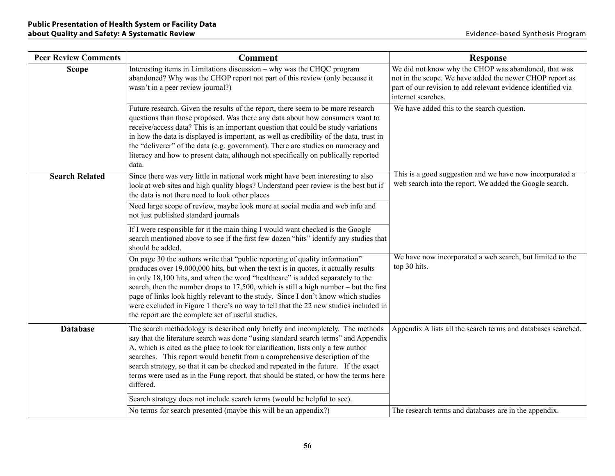| <b>Peer Review Comments</b> | <b>Comment</b>                                                                                                                                                                                                                                                                                                                                                                                                                                                                                                                                                                     | <b>Response</b>                                                                                                                                                                                        |
|-----------------------------|------------------------------------------------------------------------------------------------------------------------------------------------------------------------------------------------------------------------------------------------------------------------------------------------------------------------------------------------------------------------------------------------------------------------------------------------------------------------------------------------------------------------------------------------------------------------------------|--------------------------------------------------------------------------------------------------------------------------------------------------------------------------------------------------------|
| <b>Scope</b>                | Interesting items in Limitations discussion - why was the CHQC program<br>abandoned? Why was the CHOP report not part of this review (only because it<br>wasn't in a peer review journal?)                                                                                                                                                                                                                                                                                                                                                                                         | We did not know why the CHOP was abandoned, that was<br>not in the scope. We have added the newer CHOP report as<br>part of our revision to add relevant evidence identified via<br>internet searches. |
|                             | Future research. Given the results of the report, there seem to be more research<br>questions than those proposed. Was there any data about how consumers want to<br>receive/access data? This is an important question that could be study variations<br>in how the data is displayed is important, as well as credibility of the data, trust in<br>the "deliverer" of the data (e.g. government). There are studies on numeracy and<br>literacy and how to present data, although not specifically on publically reported<br>data.                                               | We have added this to the search question.                                                                                                                                                             |
| <b>Search Related</b>       | Since there was very little in national work might have been interesting to also<br>look at web sites and high quality blogs? Understand peer review is the best but if<br>the data is not there need to look other places                                                                                                                                                                                                                                                                                                                                                         | This is a good suggestion and we have now incorporated a<br>web search into the report. We added the Google search.                                                                                    |
|                             | Need large scope of review, maybe look more at social media and web info and<br>not just published standard journals                                                                                                                                                                                                                                                                                                                                                                                                                                                               |                                                                                                                                                                                                        |
|                             | If I were responsible for it the main thing I would want checked is the Google<br>search mentioned above to see if the first few dozen "hits" identify any studies that<br>should be added.                                                                                                                                                                                                                                                                                                                                                                                        |                                                                                                                                                                                                        |
|                             | On page 30 the authors write that "public reporting of quality information"<br>produces over 19,000,000 hits, but when the text is in quotes, it actually results<br>in only 18,100 hits, and when the word "healthcare" is added separately to the<br>search, then the number drops to $17,500$ , which is still a high number – but the first<br>page of links look highly relevant to the study. Since I don't know which studies<br>were excluded in Figure 1 there's no way to tell that the 22 new studies included in<br>the report are the complete set of useful studies. | We have now incorporated a web search, but limited to the<br>top 30 hits.                                                                                                                              |
| <b>Database</b>             | The search methodology is described only briefly and incompletely. The methods<br>say that the literature search was done "using standard search terms" and Appendix<br>A, which is cited as the place to look for clarification, lists only a few author<br>searches. This report would benefit from a comprehensive description of the<br>search strategy, so that it can be checked and repeated in the future. If the exact<br>terms were used as in the Fung report, that should be stated, or how the terms here<br>differed.                                                | Appendix A lists all the search terms and databases searched.                                                                                                                                          |
|                             | Search strategy does not include search terms (would be helpful to see).                                                                                                                                                                                                                                                                                                                                                                                                                                                                                                           |                                                                                                                                                                                                        |
|                             | No terms for search presented (maybe this will be an appendix?)                                                                                                                                                                                                                                                                                                                                                                                                                                                                                                                    | The research terms and databases are in the appendix.                                                                                                                                                  |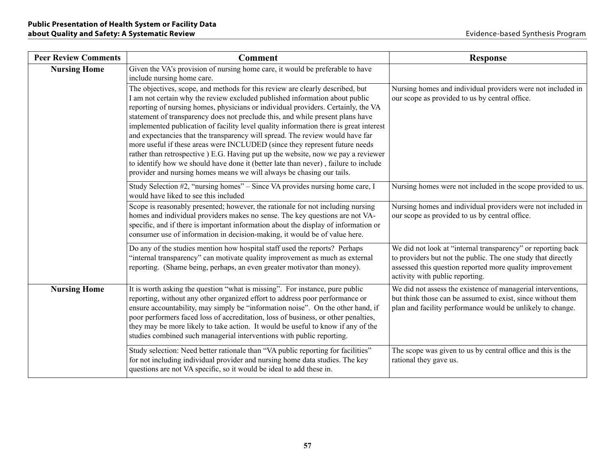| <b>Peer Review Comments</b> | <b>Comment</b>                                                                                                                                                                                                                                                                                                                                                                                                                                                                                                                                                                                                                                                                                                                                                                                                                                    | <b>Response</b>                                                                                                                                                                                                             |
|-----------------------------|---------------------------------------------------------------------------------------------------------------------------------------------------------------------------------------------------------------------------------------------------------------------------------------------------------------------------------------------------------------------------------------------------------------------------------------------------------------------------------------------------------------------------------------------------------------------------------------------------------------------------------------------------------------------------------------------------------------------------------------------------------------------------------------------------------------------------------------------------|-----------------------------------------------------------------------------------------------------------------------------------------------------------------------------------------------------------------------------|
| <b>Nursing Home</b>         | Given the VA's provision of nursing home care, it would be preferable to have<br>include nursing home care.                                                                                                                                                                                                                                                                                                                                                                                                                                                                                                                                                                                                                                                                                                                                       |                                                                                                                                                                                                                             |
|                             | The objectives, scope, and methods for this review are clearly described, but<br>I am not certain why the review excluded published information about public<br>reporting of nursing homes, physicians or individual providers. Certainly, the VA<br>statement of transparency does not preclude this, and while present plans have<br>implemented publication of facility level quality information there is great interest<br>and expectancies that the transparency will spread. The review would have far<br>more useful if these areas were INCLUDED (since they represent future needs<br>rather than retrospective ) E.G. Having put up the website, now we pay a reviewer<br>to identify how we should have done it (better late than never), failure to include<br>provider and nursing homes means we will always be chasing our tails. | Nursing homes and individual providers were not included in<br>our scope as provided to us by central office.                                                                                                               |
|                             | Study Selection #2, "nursing homes" – Since VA provides nursing home care, I<br>would have liked to see this included                                                                                                                                                                                                                                                                                                                                                                                                                                                                                                                                                                                                                                                                                                                             | Nursing homes were not included in the scope provided to us.                                                                                                                                                                |
|                             | Scope is reasonably presented; however, the rationale for not including nursing<br>homes and individual providers makes no sense. The key questions are not VA-<br>specific, and if there is important information about the display of information or<br>consumer use of information in decision-making, it would be of value here.                                                                                                                                                                                                                                                                                                                                                                                                                                                                                                              | Nursing homes and individual providers were not included in<br>our scope as provided to us by central office.                                                                                                               |
|                             | Do any of the studies mention how hospital staff used the reports? Perhaps<br>"internal transparency" can motivate quality improvement as much as external<br>reporting. (Shame being, perhaps, an even greater motivator than money).                                                                                                                                                                                                                                                                                                                                                                                                                                                                                                                                                                                                            | We did not look at "internal transparency" or reporting back<br>to providers but not the public. The one study that directly<br>assessed this question reported more quality improvement<br>activity with public reporting. |
| <b>Nursing Home</b>         | It is worth asking the question "what is missing". For instance, pure public<br>reporting, without any other organized effort to address poor performance or<br>ensure accountability, may simply be "information noise". On the other hand, if<br>poor performers faced loss of accreditation, loss of business, or other penalties,<br>they may be more likely to take action. It would be useful to know if any of the<br>studies combined such managerial interventions with public reporting.                                                                                                                                                                                                                                                                                                                                                | We did not assess the existence of managerial interventions,<br>but think those can be assumed to exist, since without them<br>plan and facility performance would be unlikely to change.                                   |
|                             | Study selection: Need better rationale than "VA public reporting for facilities"<br>for not including individual provider and nursing home data studies. The key<br>questions are not VA specific, so it would be ideal to add these in.                                                                                                                                                                                                                                                                                                                                                                                                                                                                                                                                                                                                          | The scope was given to us by central office and this is the<br>rational they gave us.                                                                                                                                       |